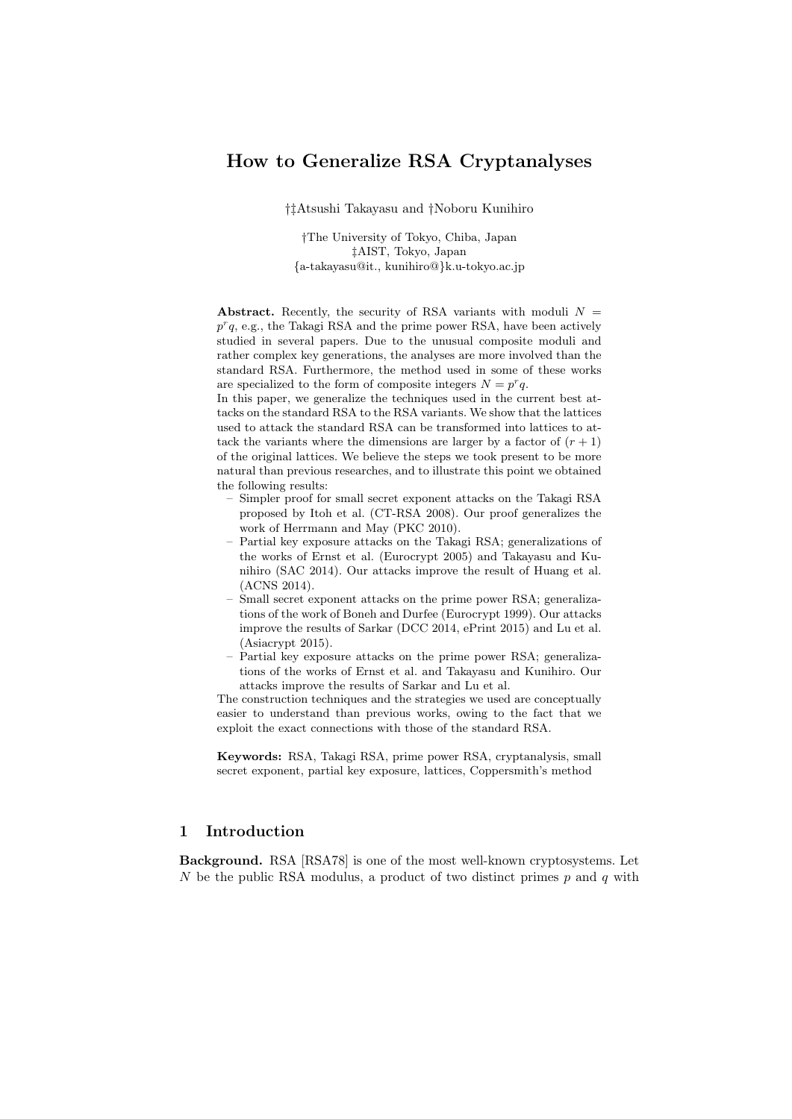# **How to Generalize RSA Cryptanalyses**

*†‡*Atsushi Takayasu and *†*Noboru Kunihiro

*†*The University of Tokyo, Chiba, Japan *‡*AIST, Tokyo, Japan *{*a-takayasu@it., kunihiro@*}*k.u-tokyo.ac.jp

**Abstract.** Recently, the security of RSA variants with moduli  $N =$ *p r q*, e.g., the Takagi RSA and the prime power RSA, have been actively studied in several papers. Due to the unusual composite moduli and rather complex key generations, the analyses are more involved than the standard RSA. Furthermore, the method used in some of these works are specialized to the form of composite integers  $N = p^r q$ .

In this paper, we generalize the techniques used in the current best attacks on the standard RSA to the RSA variants. We show that the lattices used to attack the standard RSA can be transformed into lattices to attack the variants where the dimensions are larger by a factor of  $(r + 1)$ of the original lattices. We believe the steps we took present to be more natural than previous researches, and to illustrate this point we obtained the following results:

- Simpler proof for small secret exponent attacks on the Takagi RSA proposed by Itoh et al. (CT-RSA 2008). Our proof generalizes the work of Herrmann and May (PKC 2010).
- Partial key exposure attacks on the Takagi RSA; generalizations of the works of Ernst et al. (Eurocrypt 2005) and Takayasu and Kunihiro (SAC 2014). Our attacks improve the result of Huang et al. (ACNS 2014).
- Small secret exponent attacks on the prime power RSA; generalizations of the work of Boneh and Durfee (Eurocrypt 1999). Our attacks improve the results of Sarkar (DCC 2014, ePrint 2015) and Lu et al. (Asiacrypt 2015).
- Partial key exposure attacks on the prime power RSA; generalizations of the works of Ernst et al. and Takayasu and Kunihiro. Our attacks improve the results of Sarkar and Lu et al.

The construction techniques and the strategies we used are conceptually easier to understand than previous works, owing to the fact that we exploit the exact connections with those of the standard RSA.

**Keywords:** RSA, Takagi RSA, prime power RSA, cryptanalysis, small secret exponent, partial key exposure, lattices, Coppersmith's method

# **1 Introduction**

**Background.** RSA [RSA78] is one of the most well-known cryptosystems. Let *N* be the public RSA modulus, a product of two distinct primes *p* and *q* with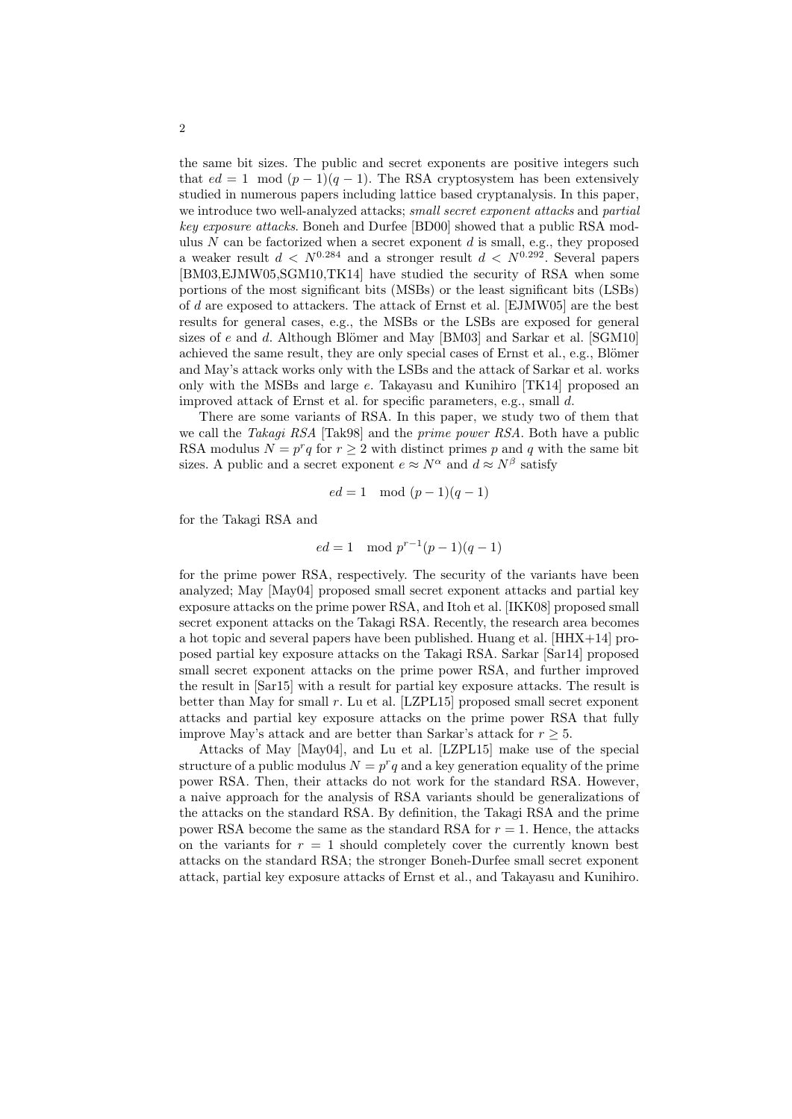the same bit sizes. The public and secret exponents are positive integers such that  $ed = 1 \mod (p-1)(q-1)$ . The RSA cryptosystem has been extensively studied in numerous papers including lattice based cryptanalysis. In this paper, we introduce two well-analyzed attacks; *small secret exponent attacks* and *partial key exposure attacks*. Boneh and Durfee [BD00] showed that a public RSA modulus  $N$  can be factorized when a secret exponent  $d$  is small, e.g., they proposed a weaker result  $d < N^{0.284}$  and a stronger result  $d < N^{0.292}$ . Several papers [BM03,EJMW05,SGM10,TK14] have studied the security of RSA when some portions of the most significant bits (MSBs) or the least significant bits (LSBs) of *d* are exposed to attackers. The attack of Ernst et al. [EJMW05] are the best results for general cases, e.g., the MSBs or the LSBs are exposed for general sizes of  $e$  and  $d$ . Although Blömer and May [BM03] and Sarkar et al. [SGM10] achieved the same result, they are only special cases of Ernst et al., e.g., Blömer and May's attack works only with the LSBs and the attack of Sarkar et al. works only with the MSBs and large *e*. Takayasu and Kunihiro [TK14] proposed an improved attack of Ernst et al. for specific parameters, e.g., small *d*.

There are some variants of RSA. In this paper, we study two of them that we call the *Takagi RSA* [Tak98] and the *prime power RSA*. Both have a public RSA modulus  $N = p^r q$  for  $r \geq 2$  with distinct primes p and q with the same bit sizes. A public and a secret exponent  $e \approx N^{\alpha}$  and  $d \approx N^{\beta}$  satisfy

$$
ed = 1 \mod (p-1)(q-1)
$$

for the Takagi RSA and

$$
ed = 1 \mod p^{r-1}(p-1)(q-1)
$$

for the prime power RSA, respectively. The security of the variants have been analyzed; May [May04] proposed small secret exponent attacks and partial key exposure attacks on the prime power RSA, and Itoh et al. [IKK08] proposed small secret exponent attacks on the Takagi RSA. Recently, the research area becomes a hot topic and several papers have been published. Huang et al. [HHX+14] proposed partial key exposure attacks on the Takagi RSA. Sarkar [Sar14] proposed small secret exponent attacks on the prime power RSA, and further improved the result in [Sar15] with a result for partial key exposure attacks. The result is better than May for small *r*. Lu et al. [LZPL15] proposed small secret exponent attacks and partial key exposure attacks on the prime power RSA that fully improve May's attack and are better than Sarkar's attack for  $r \geq 5$ .

Attacks of May [May04], and Lu et al. [LZPL15] make use of the special structure of a public modulus  $N = p^r q$  and a key generation equality of the prime power RSA. Then, their attacks do not work for the standard RSA. However, a naive approach for the analysis of RSA variants should be generalizations of the attacks on the standard RSA. By definition, the Takagi RSA and the prime power RSA become the same as the standard RSA for  $r = 1$ . Hence, the attacks on the variants for  $r = 1$  should completely cover the currently known best attacks on the standard RSA; the stronger Boneh-Durfee small secret exponent attack, partial key exposure attacks of Ernst et al., and Takayasu and Kunihiro.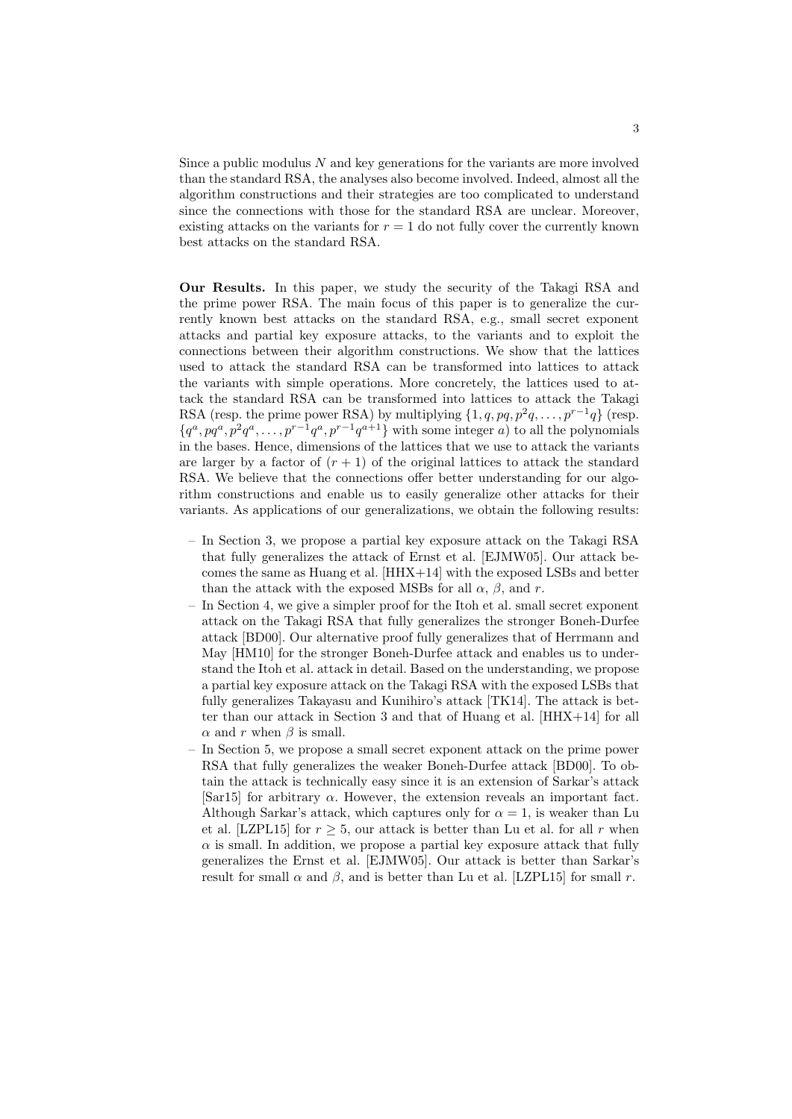Since a public modulus *N* and key generations for the variants are more involved than the standard RSA, the analyses also become involved. Indeed, almost all the algorithm constructions and their strategies are too complicated to understand since the connections with those for the standard RSA are unclear. Moreover, existing attacks on the variants for  $r = 1$  do not fully cover the currently known best attacks on the standard RSA.

**Our Results.** In this paper, we study the security of the Takagi RSA and the prime power RSA. The main focus of this paper is to generalize the currently known best attacks on the standard RSA, e.g., small secret exponent attacks and partial key exposure attacks, to the variants and to exploit the connections between their algorithm constructions. We show that the lattices used to attack the standard RSA can be transformed into lattices to attack the variants with simple operations. More concretely, the lattices used to attack the standard RSA can be transformed into lattices to attack the Takagi RSA (resp. the prime power RSA) by multiplying  $\{1, q, pq, p^2q, \ldots, p^{r-1}q\}$  (resp.  $\{q^a, pq^a, p^2q^a, \ldots, p^{r-1}q^a, p^{r-1}q^{a+1}\}\$  with some integer a) to all the polynomials in the bases. Hence, dimensions of the lattices that we use to attack the variants are larger by a factor of  $(r + 1)$  of the original lattices to attack the standard RSA. We believe that the connections offer better understanding for our algorithm constructions and enable us to easily generalize other attacks for their variants. As applications of our generalizations, we obtain the following results:

- In Section 3, we propose a partial key exposure attack on the Takagi RSA that fully generalizes the attack of Ernst et al. [EJMW05]. Our attack becomes the same as Huang et al. [HHX+14] with the exposed LSBs and better than the attack with the exposed MSBs for all  $\alpha$ ,  $\beta$ , and *r*.
- In Section 4, we give a simpler proof for the Itoh et al. small secret exponent attack on the Takagi RSA that fully generalizes the stronger Boneh-Durfee attack [BD00]. Our alternative proof fully generalizes that of Herrmann and May [HM10] for the stronger Boneh-Durfee attack and enables us to understand the Itoh et al. attack in detail. Based on the understanding, we propose a partial key exposure attack on the Takagi RSA with the exposed LSBs that fully generalizes Takayasu and Kunihiro's attack [TK14]. The attack is better than our attack in Section 3 and that of Huang et al. [HHX+14] for all *α* and *r* when  $β$  is small.
- In Section 5, we propose a small secret exponent attack on the prime power RSA that fully generalizes the weaker Boneh-Durfee attack [BD00]. To obtain the attack is technically easy since it is an extension of Sarkar's attack [Sar15] for arbitrary *α*. However, the extension reveals an important fact. Although Sarkar's attack, which captures only for  $\alpha = 1$ , is weaker than Lu et al. [LZPL15] for  $r \geq 5$ , our attack is better than Lu et al. for all r when  $\alpha$  is small. In addition, we propose a partial key exposure attack that fully generalizes the Ernst et al. [EJMW05]. Our attack is better than Sarkar's result for small  $\alpha$  and  $\beta$ , and is better than Lu et al. [LZPL15] for small *r*.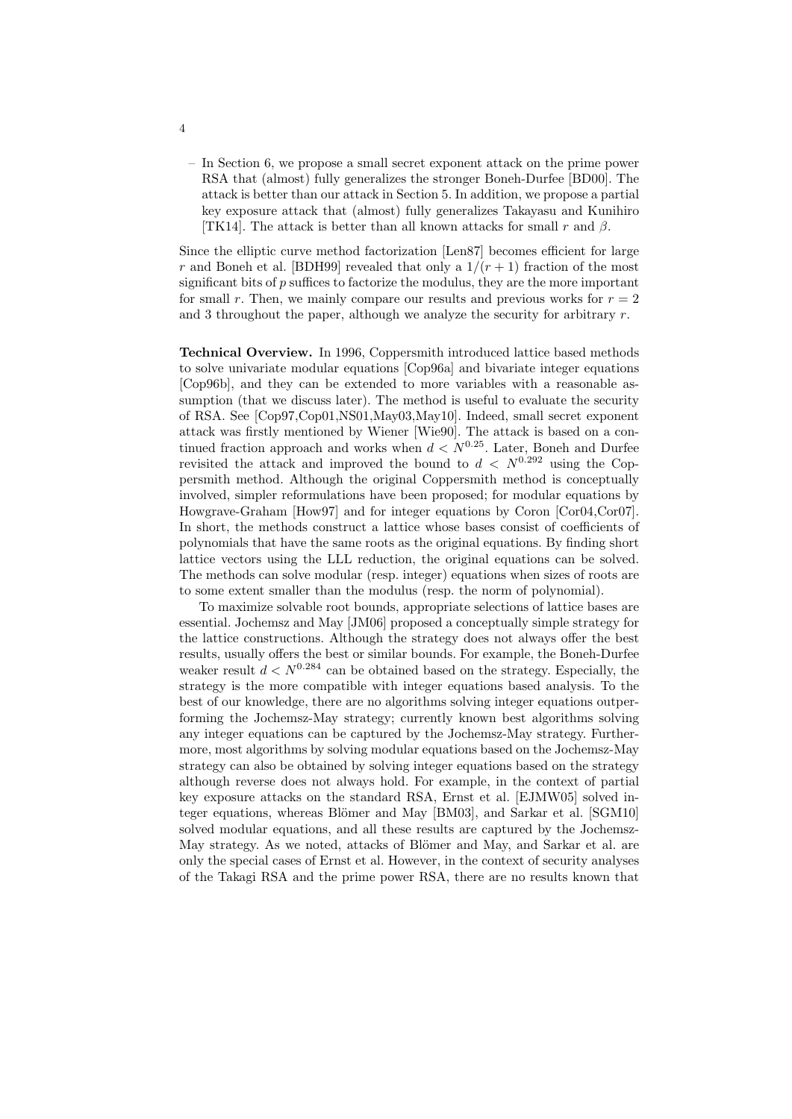– In Section 6, we propose a small secret exponent attack on the prime power RSA that (almost) fully generalizes the stronger Boneh-Durfee [BD00]. The attack is better than our attack in Section 5. In addition, we propose a partial key exposure attack that (almost) fully generalizes Takayasu and Kunihiro [TK14]. The attack is better than all known attacks for small *r* and *β*.

Since the elliptic curve method factorization [Len87] becomes efficient for large *r* and Boneh et al. [BDH99] revealed that only a  $1/(r+1)$  fraction of the most significant bits of *p* suffices to factorize the modulus, they are the more important for small  $r$ . Then, we mainly compare our results and previous works for  $r = 2$ and 3 throughout the paper, although we analyze the security for arbitrary *r*.

**Technical Overview.** In 1996, Coppersmith introduced lattice based methods to solve univariate modular equations [Cop96a] and bivariate integer equations [Cop96b], and they can be extended to more variables with a reasonable assumption (that we discuss later). The method is useful to evaluate the security of RSA. See [Cop97,Cop01,NS01,May03,May10]. Indeed, small secret exponent attack was firstly mentioned by Wiener [Wie90]. The attack is based on a continued fraction approach and works when  $d < N^{0.25}$ . Later, Boneh and Durfee revisited the attack and improved the bound to  $d < N^{0.292}$  using the Coppersmith method. Although the original Coppersmith method is conceptually involved, simpler reformulations have been proposed; for modular equations by Howgrave-Graham [How97] and for integer equations by Coron [Cor04,Cor07]. In short, the methods construct a lattice whose bases consist of coefficients of polynomials that have the same roots as the original equations. By finding short lattice vectors using the LLL reduction, the original equations can be solved. The methods can solve modular (resp. integer) equations when sizes of roots are to some extent smaller than the modulus (resp. the norm of polynomial).

To maximize solvable root bounds, appropriate selections of lattice bases are essential. Jochemsz and May [JM06] proposed a conceptually simple strategy for the lattice constructions. Although the strategy does not always offer the best results, usually offers the best or similar bounds. For example, the Boneh-Durfee weaker result  $d < N^{0.284}$  can be obtained based on the strategy. Especially, the strategy is the more compatible with integer equations based analysis. To the best of our knowledge, there are no algorithms solving integer equations outperforming the Jochemsz-May strategy; currently known best algorithms solving any integer equations can be captured by the Jochemsz-May strategy. Furthermore, most algorithms by solving modular equations based on the Jochemsz-May strategy can also be obtained by solving integer equations based on the strategy although reverse does not always hold. For example, in the context of partial key exposure attacks on the standard RSA, Ernst et al. [EJMW05] solved integer equations, whereas Blömer and May [BM03], and Sarkar et al. [SGM10] solved modular equations, and all these results are captured by the Jochemsz-May strategy. As we noted, attacks of Blömer and May, and Sarkar et al. are only the special cases of Ernst et al. However, in the context of security analyses of the Takagi RSA and the prime power RSA, there are no results known that

4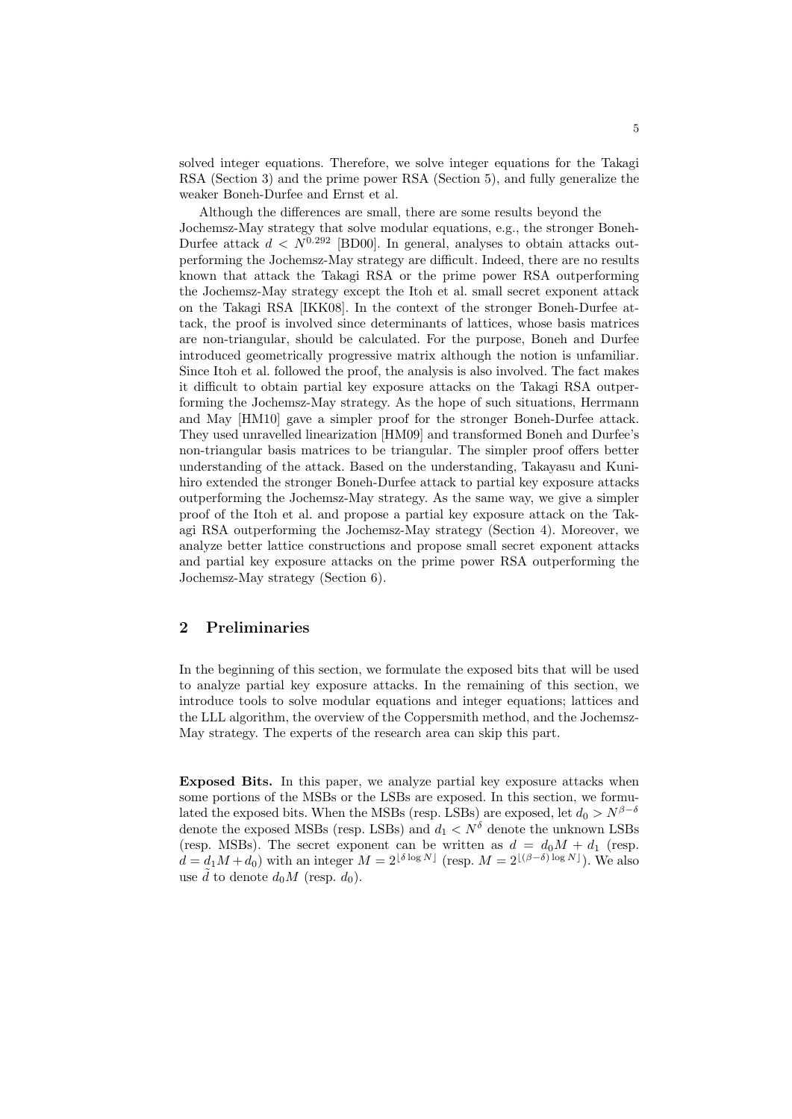solved integer equations. Therefore, we solve integer equations for the Takagi RSA (Section 3) and the prime power RSA (Section 5), and fully generalize the weaker Boneh-Durfee and Ernst et al.

Although the differences are small, there are some results beyond the Jochemsz-May strategy that solve modular equations, e.g., the stronger Boneh-Durfee attack  $d < \tilde{N}^{0.292}$  [BD00]. In general, analyses to obtain attacks outperforming the Jochemsz-May strategy are difficult. Indeed, there are no results known that attack the Takagi RSA or the prime power RSA outperforming the Jochemsz-May strategy except the Itoh et al. small secret exponent attack on the Takagi RSA [IKK08]. In the context of the stronger Boneh-Durfee attack, the proof is involved since determinants of lattices, whose basis matrices are non-triangular, should be calculated. For the purpose, Boneh and Durfee introduced geometrically progressive matrix although the notion is unfamiliar. Since Itoh et al. followed the proof, the analysis is also involved. The fact makes it difficult to obtain partial key exposure attacks on the Takagi RSA outperforming the Jochemsz-May strategy. As the hope of such situations, Herrmann and May [HM10] gave a simpler proof for the stronger Boneh-Durfee attack. They used unravelled linearization [HM09] and transformed Boneh and Durfee's non-triangular basis matrices to be triangular. The simpler proof offers better understanding of the attack. Based on the understanding, Takayasu and Kunihiro extended the stronger Boneh-Durfee attack to partial key exposure attacks outperforming the Jochemsz-May strategy. As the same way, we give a simpler proof of the Itoh et al. and propose a partial key exposure attack on the Takagi RSA outperforming the Jochemsz-May strategy (Section 4). Moreover, we analyze better lattice constructions and propose small secret exponent attacks and partial key exposure attacks on the prime power RSA outperforming the Jochemsz-May strategy (Section 6).

## **2 Preliminaries**

In the beginning of this section, we formulate the exposed bits that will be used to analyze partial key exposure attacks. In the remaining of this section, we introduce tools to solve modular equations and integer equations; lattices and the LLL algorithm, the overview of the Coppersmith method, and the Jochemsz-May strategy. The experts of the research area can skip this part.

**Exposed Bits.** In this paper, we analyze partial key exposure attacks when some portions of the MSBs or the LSBs are exposed. In this section, we formulated the exposed bits. When the MSBs (resp. LSBs) are exposed, let  $d_0 > N^{\beta-\delta}$ denote the exposed MSBs (resp. LSBs) and  $d_1 < N^{\delta}$  denote the unknown LSBs (resp. MSBs). The secret exponent can be written as  $d = d_0M + d_1$  (resp.  $d = d_1 M + d_0$ ) with an integer  $M = 2^{\lfloor \delta \log N \rfloor}$  (resp.  $M = 2^{\lfloor (\beta - \delta) \log N \rfloor}$ ). We also use  $\tilde{d}$  to denote  $d_0M$  (resp.  $d_0$ ).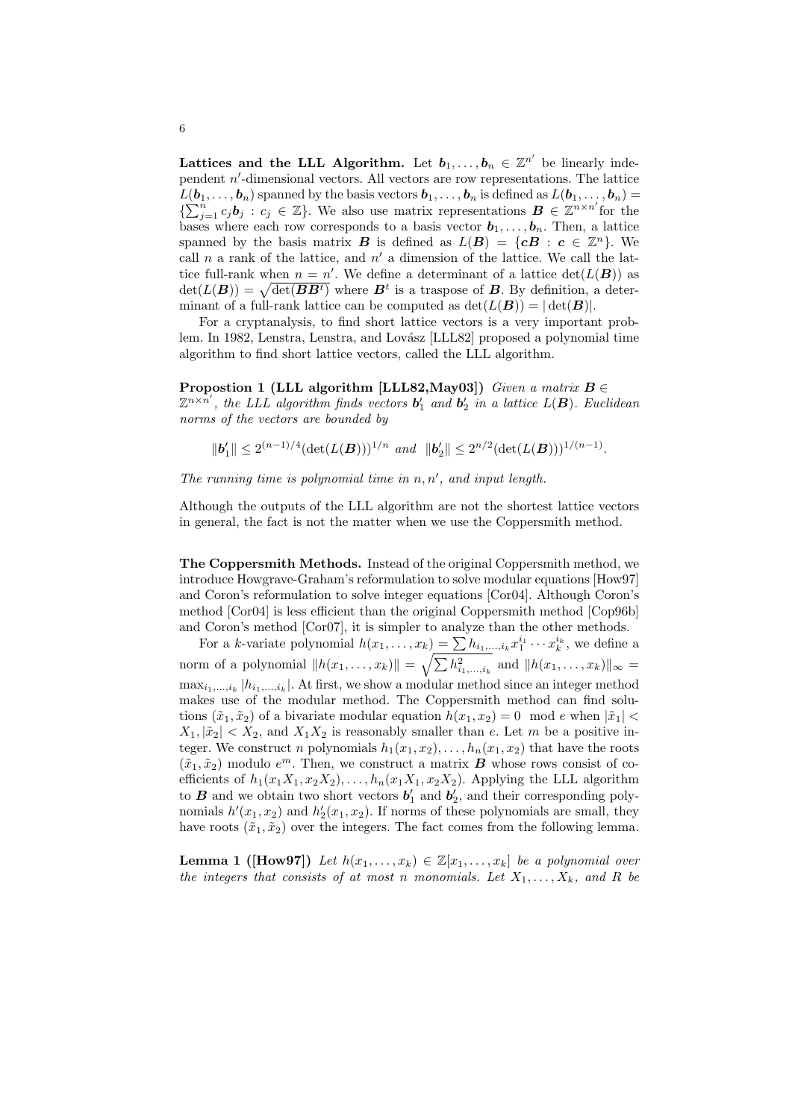**Lattices and the LLL Algorithm.** Let  $b_1, \ldots, b_n \in \mathbb{Z}^{n'}$  be linearly independent *n'*-dimensional vectors. All vectors are row representations. The lattice  $L(b_1, \ldots, b_n)$  spanned by the basis vectors  $b_1, \ldots, b_n$  is defined as  $L(b_1, \ldots, b_n)$  ${\sum_{j=1}^{n} c_j b_j : c_j \in \mathbb{Z}}$ . We also use matrix representations  $B \in \mathbb{Z}^{n \times n'}$  for the bases where each row corresponds to a basis vector  $b_1, \ldots, b_n$ . Then, a lattice spanned by the basis matrix *B* is defined as  $L(B) = \{cB : c \in \mathbb{Z}^n\}$ . We call *n* a rank of the lattice, and *n ′* a dimension of the lattice. We call the lattice full-rank when  $n = n'$ . We define a determinant of a lattice  $det(L(\mathbf{B}))$  as  $\det(L(\boldsymbol{B})) = \sqrt{\det(\boldsymbol{B}\boldsymbol{B}^t)}$  where  $\boldsymbol{B}^t$  is a traspose of  $\boldsymbol{B}$ . By definition, a determinant of a full-rank lattice can be computed as  $\det(L(\mathbf{B})) = |\det(\mathbf{B})|$ .

For a cryptanalysis, to find short lattice vectors is a very important problem. In 1982, Lenstra, Lenstra, and Lovász [LLL82] proposed a polynomial time algorithm to find short lattice vectors, called the LLL algorithm.

**Propostion 1 (LLL algorithm [LLL82,May03])** *Given a matrix*  $B \in$  $\mathbb{Z}^{n \times n'}$ , the LLL algorithm finds vectors  $b'_1$  and  $b'_2$  in a lattice  $L(B)$ . Euclidean *norms of the vectors are bounded by*

$$
\|\mathbf{b}'_1\| \le 2^{(n-1)/4} (\det(L(\mathbf{B})))^{1/n} \text{ and } \|\mathbf{b}'_2\| \le 2^{n/2} (\det(L(\mathbf{B})))^{1/(n-1)}.
$$

*The running time is polynomial time in n, n′ , and input length.*

Although the outputs of the LLL algorithm are not the shortest lattice vectors in general, the fact is not the matter when we use the Coppersmith method.

**The Coppersmith Methods.** Instead of the original Coppersmith method, we introduce Howgrave-Graham's reformulation to solve modular equations [How97] and Coron's reformulation to solve integer equations [Cor04]. Although Coron's method [Cor04] is less efficient than the original Coppersmith method [Cop96b] and Coron's method [Cor07], it is simpler to analyze than the other methods.

For a *k*-variate polynomial  $h(x_1, \ldots, x_k) = \sum_{i=1}^k b_{i_1, \ldots, i_k} x_1^{i_1} \cdots x_k^{i_k}$ , we define a norm of a polynomial  $||h(x_1,...,x_k)|| = \sqrt{\sum h_{i_1,...,i_k}^2}$  and  $||h(x_1,...,x_k)||_{\infty} =$  $\max_{i_1,\ldots,i_k} |h_{i_1,\ldots,i_k}|$ . At first, we show a modular method since an integer method makes use of the modular method. The Coppersmith method can find solutions  $(\tilde{x}_1, \tilde{x}_2)$  of a bivariate modular equation  $h(x_1, x_2) = 0 \mod e$  when  $|\tilde{x}_1|$  $X_1$ ,  $|\tilde{x}_2|$  <  $X_2$ , and  $X_1X_2$  is reasonably smaller than *e*. Let *m* be a positive integer. We construct *n* polynomials  $h_1(x_1, x_2), \ldots, h_n(x_1, x_2)$  that have the roots  $(\tilde{x}_1, \tilde{x}_2)$  modulo  $e^m$ . Then, we construct a matrix *B* whose rows consist of coefficients of  $h_1(x_1X_1, x_2X_2), \ldots, h_n(x_1X_1, x_2X_2)$ . Applying the LLL algorithm to  $B$  and we obtain two short vectors  $b'_1$  and  $b'_2$ , and their corresponding polynomials  $h'(x_1, x_2)$  and  $h'_2(x_1, x_2)$ . If norms of these polynomials are small, they have roots  $(\tilde{x}_1, \tilde{x}_2)$  over the integers. The fact comes from the following lemma.

**Lemma 1 ([How97])** *Let*  $h(x_1, \ldots, x_k) \in \mathbb{Z}[x_1, \ldots, x_k]$  *be a polynomial over the integers that consists of at most n monomials. Let*  $X_1, \ldots, X_k$ *, and R be*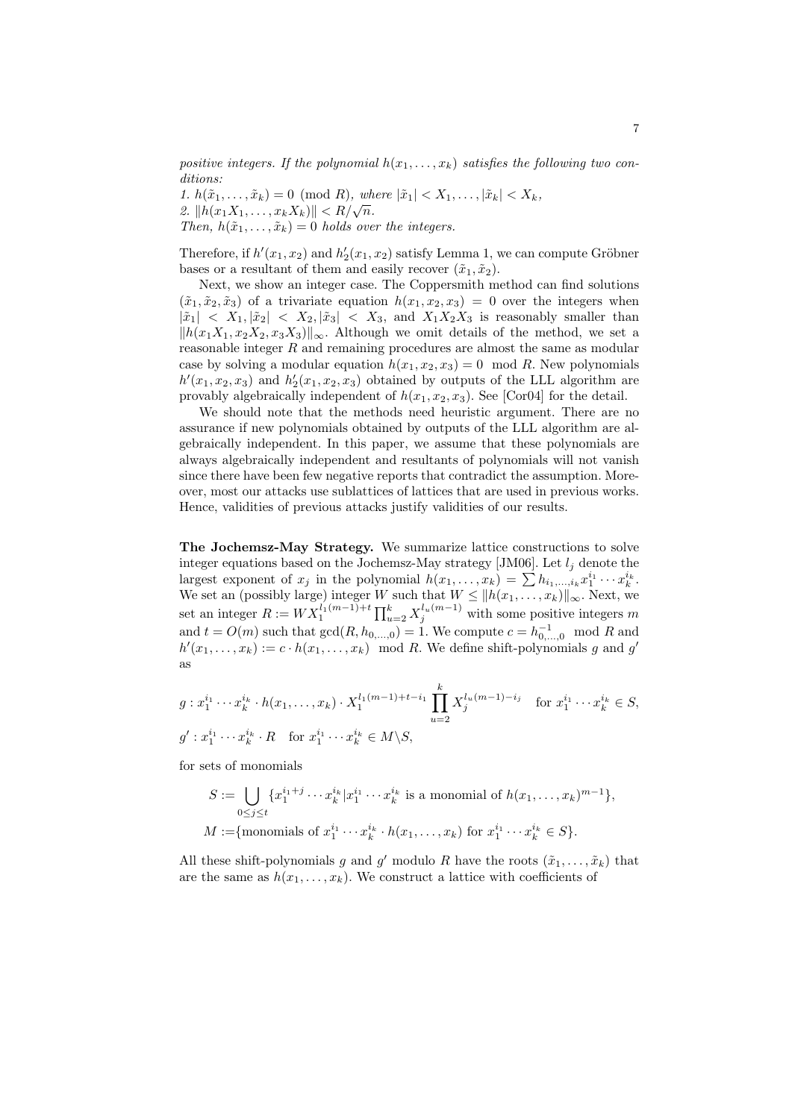positive integers. If the polynomial  $h(x_1, \ldots, x_k)$  satisfies the following two con*ditions:*

*1.*  $h(\tilde{x}_1, \ldots, \tilde{x}_k) = 0 \pmod{R}$ , where  $|\tilde{x}_1| < X_1, \ldots, |\tilde{x}_k| < X_k$ , *2.*  $||h(x_1, \ldots, x_k) - 0$  (mod *H*), and  $\geq$  *R*)  $||h(x_1, \ldots, x_k, X_k)|| < R/\sqrt{n}$ . *Then,*  $h(\tilde{x}_1, \ldots, \tilde{x}_k) = 0$  *holds over the integers.* 

Therefore, if  $h'(x_1, x_2)$  and  $h'_2(x_1, x_2)$  satisfy Lemma 1, we can compute Gröbner bases or a resultant of them and easily recover  $(\tilde{x}_1, \tilde{x}_2)$ .

Next, we show an integer case. The Coppersmith method can find solutions  $(\tilde{x}_1, \tilde{x}_2, \tilde{x}_3)$  of a trivariate equation  $h(x_1, x_2, x_3) = 0$  over the integers when  $|\tilde{x}_1| \leq X_1, |\tilde{x}_2| \leq X_2, |\tilde{x}_3| \leq X_3$ , and  $X_1X_2X_3$  is reasonably smaller than  $||h(x_1X_1, x_2X_2, x_3X_3)||_{\infty}$ *.* Although we omit details of the method, we set a reasonable integer *R* and remaining procedures are almost the same as modular case by solving a modular equation  $h(x_1, x_2, x_3) = 0 \mod R$ . New polynomials  $h'(x_1, x_2, x_3)$  and  $h'_2(x_1, x_2, x_3)$  obtained by outputs of the LLL algorithm are provably algebraically independent of  $h(x_1, x_2, x_3)$ . See [Cor04] for the detail.

We should note that the methods need heuristic argument. There are no assurance if new polynomials obtained by outputs of the LLL algorithm are algebraically independent. In this paper, we assume that these polynomials are always algebraically independent and resultants of polynomials will not vanish since there have been few negative reports that contradict the assumption. Moreover, most our attacks use sublattices of lattices that are used in previous works. Hence, validities of previous attacks justify validities of our results.

**The Jochemsz-May Strategy.** We summarize lattice constructions to solve integer equations based on the Jochemsz-May strategy [JM06]. Let  $l_j$  denote the largest exponent of  $x_j$  in the polynomial  $h(x_1, \ldots, x_k) = \sum h_{i_1, \ldots, i_k} x_1^{i_1} \cdots x_k^{i_k}$ . We set an (possibly large) integer *W* such that  $W \leq ||h(x_1, \ldots, x_k)||_{\infty}$ . Next, we set an integer  $R := W X_1^{l_1(m-1)+t} \prod_{u=2}^k X_j^{l_u(m-1)}$  with some positive integers  $m$ and  $t = O(m)$  such that  $gcd(R, h_{0,...,0}) = 1$ . We compute  $c = h_{0,...,0}^{-1}$  mod R and  $h'(x_1, \ldots, x_k) := c \cdot h(x_1, \ldots, x_k) \mod R$ . We define shift-polynomials *g* and *g* as

$$
g: x_1^{i_1} \cdots x_k^{i_k} \cdot h(x_1, \ldots, x_k) \cdot X_1^{l_1(m-1)+t-i_1} \prod_{u=2}^k X_j^{l_u(m-1)-i_j} \quad \text{for } x_1^{i_1} \cdots x_k^{i_k} \in S,
$$
  

$$
g': x_1^{i_1} \cdots x_k^{i_k} \cdot R \quad \text{for } x_1^{i_1} \cdots x_k^{i_k} \in M \setminus S,
$$

for sets of monomials

$$
S := \bigcup_{0 \le j \le t} \{x_1^{i_1+j} \cdots x_k^{i_k} | x_1^{i_1} \cdots x_k^{i_k} \text{ is a monomial of } h(x_1, \ldots, x_k)^{m-1} \},
$$
  

$$
M := \{ \text{monomials of } x_1^{i_1} \cdots x_k^{i_k} \cdot h(x_1, \ldots, x_k) \text{ for } x_1^{i_1} \cdots x_k^{i_k} \in S \}.
$$

All these shift-polynomials *g* and *g*' modulo *R* have the roots  $(\tilde{x}_1, \ldots, \tilde{x}_k)$  that are the same as  $h(x_1, \ldots, x_k)$ . We construct a lattice with coefficients of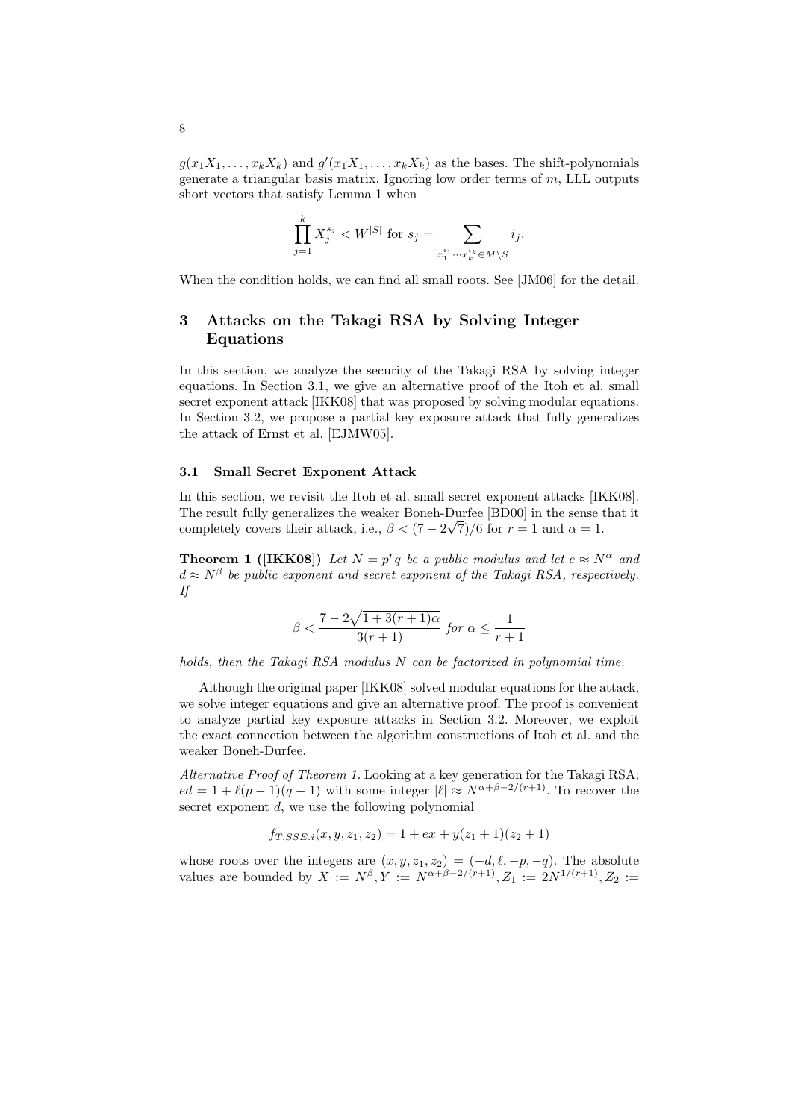$g(x_1X_1,\ldots,x_kX_k)$  and  $g'(x_1X_1,\ldots,x_kX_k)$  as the bases. The shift-polynomials generate a triangular basis matrix. Ignoring low order terms of *m*, LLL outputs short vectors that satisfy Lemma 1 when

$$
\prod_{j=1}^{k} X_j^{s_j} < W^{|S|} \text{ for } s_j = \sum_{x_1^{i_1} \cdots x_k^{i_k} \in M \setminus S} i_j.
$$

When the condition holds, we can find all small roots. See [JM06] for the detail.

# **3 Attacks on the Takagi RSA by Solving Integer Equations**

In this section, we analyze the security of the Takagi RSA by solving integer equations. In Section 3.1, we give an alternative proof of the Itoh et al. small secret exponent attack [IKK08] that was proposed by solving modular equations. In Section 3.2, we propose a partial key exposure attack that fully generalizes the attack of Ernst et al. [EJMW05].

### **3.1 Small Secret Exponent Attack**

In this section, we revisit the Itoh et al. small secret exponent attacks [IKK08]. The result fully generalizes the weaker Boneh-Durfee [BD00] in the sense that it *√* completely covers their attack, i.e.,  $\beta < (7 - 2\sqrt{7})/6$  for  $r = 1$  and  $\alpha = 1$ .

**Theorem 1 ([IKK08])** Let  $N = p^r q$  be a public modulus and let  $e \approx N^{\alpha}$  and  $d \approx N^{\beta}$  be public exponent and secret exponent of the Takagi RSA, respectively. *If*

$$
\beta < \frac{7 - 2\sqrt{1 + 3(r+1)\alpha}}{3(r+1)} \text{ for } \alpha \le \frac{1}{r+1}
$$

*holds, then the Takagi RSA modulus N can be factorized in polynomial time.*

Although the original paper [IKK08] solved modular equations for the attack, we solve integer equations and give an alternative proof. The proof is convenient to analyze partial key exposure attacks in Section 3.2. Moreover, we exploit the exact connection between the algorithm constructions of Itoh et al. and the weaker Boneh-Durfee.

*Alternative Proof of Theorem 1.* Looking at a key generation for the Takagi RSA;  $ed = 1 + \ell(p-1)(q-1)$  with some integer  $|\ell| \approx N^{\alpha+\beta-2/(r+1)}$ . To recover the secret exponent *d*, we use the following polynomial

$$
f_{T.SSE.i}(x, y, z_1, z_2) = 1 + ex + y(z_1 + 1)(z_2 + 1)
$$

whose roots over the integers are  $(x, y, z_1, z_2) = (-d, \ell, -p, -q)$ . The absolute values are bounded by  $X := N^{\beta}, Y := N^{\alpha+\beta-2/(r+1)}, Z_1 := 2N^{1/(r+1)}, Z_2 :=$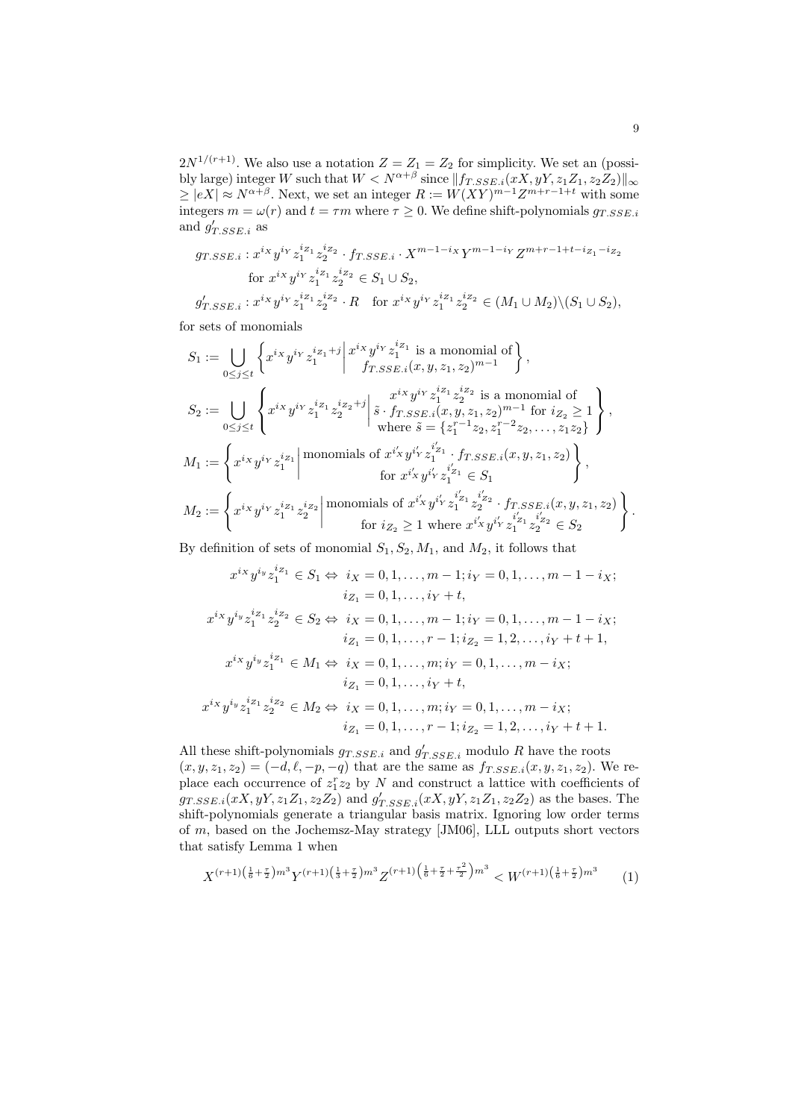$2N^{1/(r+1)}$ . We also use a notation  $Z = Z_1 = Z_2$  for simplicity. We set an (possi- $\int$  bly large) integer *W* such that  $W < N^{\alpha+\beta}$  since  $||f_{T.SSE.i}(xX, yY, z_1Z_1, z_2Z_2)||_{\infty}$  $\geq |eX| \approx N^{\alpha+\beta}$ . Next, we set an integer  $R := W(XY)^{m-1}Z^{m+r-1+t}$  with some integers  $m = \omega(r)$  and  $t = \tau m$  where  $\tau \geq 0$ . We define shift-polynomials  $g_{T, SSE, i}$ and  $g'_{T, SSE, i}$  as

$$
\begin{aligned} g_{T.SSE.i} &: x^{i_X} y^{i_Y} z_1^{i_{Z_1}} z_2^{i_{Z_2}} \cdot f_{T.SSE.i} \cdot X^{m-1-i_X} Y^{m-1-i_Y} Z^{m+r-1+t-i_{Z_1}-i_{Z_2}} \\ & \text{for } x^{i_X} y^{i_Y} z_1^{i_{Z_1}} z_2^{i_{Z_2}} \in S_1 \cup S_2, \\ g'_{T.SSE.i} &: x^{i_X} y^{i_Y} z_1^{i_{Z_1}} z_2^{i_{Z_2}} \cdot R \quad \text{for } x^{i_X} y^{i_Y} z_1^{i_{Z_1}} z_2^{i_{Z_2}} \in (M_1 \cup M_2) \setminus (S_1 \cup S_2), \end{aligned}
$$

for sets of monomials

$$
\begin{split} S_1&:=\bigcup_{0\leq j\leq t}\bigg\{x^{ix}y^{i_Y}z_1^{iz_1+j}\bigg|\,x^{ix}y^{i_Y}z_1^{iz_1}\text{ is a monomial of}\, \bigg\},\\ S_2&:=\bigcup_{0\leq j\leq t}\bigg\{x^{ix}y^{i_Y}z_1^{iz_1}z_2^{iz_2+j}\bigg|\, \tilde{s}\cdot f_{T.SSE.i}(x,y,z_1,z_2)^{m-1}\text{ for }i_{Z_2}\geq 1\,\bigg\},\\ M_1&:=\bigg\{x^{ix}y^{i_Y}z_1^{iz_1}\bigg|\, \text{monomials of}\,\, x^{i_X'}y^{i_Y'}z_1^{iz_1}\cdot f_{T.SSE.i}(x,y,z_1,z_2)^{m-1}\text{ for }i_{Z_2}\geq 1\,\bigg\},\\ M_1&:=\bigg\{x^{ix}y^{i_Y}z_1^{iz_1}\bigg|\, \text{monomials of}\,\, x^{i_X'}y^{i_Y'}z_1^{i_{Z_1}}\cdot f_{T.SSE.i}(x,y,z_1,z_2)\bigg\},\\ M_2&:=\bigg\{x^{ix}y^{i_Y}z_1^{iz_1}z_2^{iz_2}\bigg|\, \text{monomials of}\,\, x^{i_X'}y^{i_Y'}z_1^{i_{Z_1}}z_2^{i_{Z_2}}\cdot f_{T.SSE.i}(x,y,z_1,z_2)\bigg\},\\ M_2&:=\bigg\{x^{ix}y^{i_Y}z_1^{iz_1}z_2^{iz_2}\bigg|\, \text{monomials of}\,\, x^{i_X'}y^{i_Y'}z_1^{i_{Z_1}}z_2^{i_{Z_2}}\cdot f_{T.SSE.i}(x,y,z_1,z_2)\bigg\}\\ \text{ for }i_{Z_2}\geq 1\text{ where }x^{i_X'}y^{i_Y'}z_1^{i_{Z_1}}z_2^{i_{Z_2}}\in S_2\bigg\} \end{split} \label{eq:17}
$$

By definition of sets of monomial  $S_1, S_2, M_1$ , and  $M_2$ , it follows that

$$
x^{i_X}y^{i_y}z_1^{i_{Z_1}} \in S_1 \Leftrightarrow i_X = 0, 1, ..., m - 1; i_Y = 0, 1, ..., m - 1 - i_X;
$$
  
\n
$$
i_{Z_1} = 0, 1, ..., i_Y + t,
$$
  
\n
$$
x^{i_X}y^{i_y}z_1^{i_{Z_1}}z_2^{i_{Z_2}} \in S_2 \Leftrightarrow i_X = 0, 1, ..., m - 1; i_Y = 0, 1, ..., m - 1 - i_X;
$$
  
\n
$$
i_{Z_1} = 0, 1, ..., r - 1; i_{Z_2} = 1, 2, ..., i_Y + t + 1,
$$
  
\n
$$
x^{i_X}y^{i_y}z_1^{i_{Z_1}} \in M_1 \Leftrightarrow i_X = 0, 1, ..., m; i_Y = 0, 1, ..., m - i_X;
$$
  
\n
$$
i_{Z_1} = 0, 1, ..., i_Y + t,
$$
  
\n
$$
x^{i_X}y^{i_y}z_1^{i_{Z_1}}z_2^{i_{Z_2}} \in M_2 \Leftrightarrow i_X = 0, 1, ..., m; i_Y = 0, 1, ..., m - i_X;
$$
  
\n
$$
i_{Z_1} = 0, 1, ..., r - 1; i_{Z_2} = 1, 2, ..., i_Y + t + 1.
$$

All these shift-polynomials  $g_{T, SSE, i}$  and  $g'_{T, SSE, i}$  modulo  $R$  have the roots  $(x, y, z_1, z_2) = (-d, \ell, -p, -q)$  that are the same as  $f_{T.SSE.i}(x, y, z_1, z_2)$ . We replace each occurrence of  $z_1^r z_2$  by  $N$  and construct a lattice with coefficients of  $g_{T, SSE, i}(xX, yY, z_1Z_1, z_2Z_2)$  and  $g'_{T, SSE, i}(xX, yY, z_1Z_1, z_2Z_2)$  as the bases. The shift-polynomials generate a triangular basis matrix. Ignoring low order terms of *m*, based on the Jochemsz-May strategy [JM06], LLL outputs short vectors that satisfy Lemma 1 when

$$
X^{(r+1)\left(\frac{1}{6} + \frac{\tau}{2}\right)m^3} Y^{(r+1)\left(\frac{1}{3} + \frac{\tau}{2}\right)m^3} Z^{(r+1)\left(\frac{1}{6} + \frac{\tau}{2} + \frac{\tau^2}{2}\right)m^3} < W^{(r+1)\left(\frac{1}{6} + \frac{\tau}{2}\right)m^3} \tag{1}
$$

*.*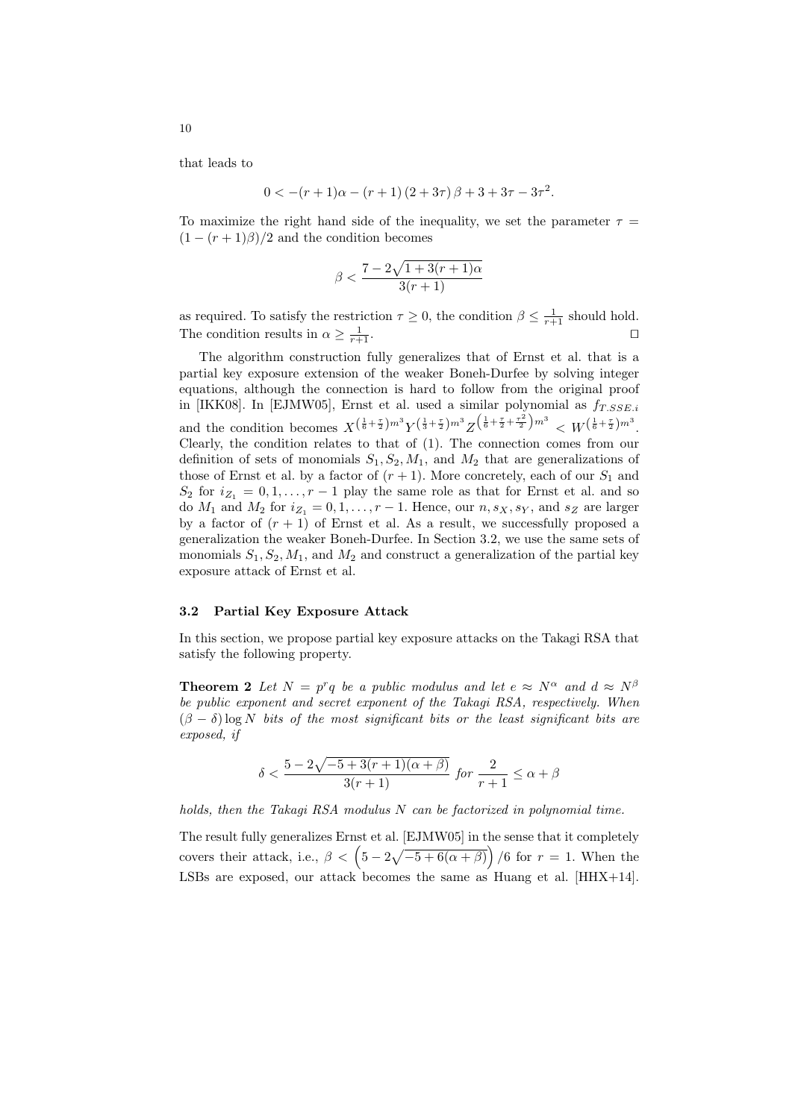that leads to

$$
0 < -(r+1)\alpha - (r+1)(2+3\tau)\beta + 3 + 3\tau - 3\tau^{2}.
$$

To maximize the right hand side of the inequality, we set the parameter  $\tau =$  $(1 - (r + 1)\beta)/2$  and the condition becomes

$$
\beta < \frac{7 - 2\sqrt{1 + 3(r+1)\alpha}}{3(r+1)}
$$

as required. To satisfy the restriction  $\tau \geq 0$ , the condition  $\beta \leq \frac{1}{r+1}$  should hold. The condition results in  $\alpha \geq \frac{1}{r+1}$ *<u>r+</u>1</sub>. □* 

The algorithm construction fully generalizes that of Ernst et al. that is a partial key exposure extension of the weaker Boneh-Durfee by solving integer equations, although the connection is hard to follow from the original proof in [IKK08]. In [EJMW05], Ernst et al. used a similar polynomial as *fT .SSE.i* and the condition becomes  $X^{\left(\frac{1}{6} + \frac{\tau}{2}\right)m^3} Y^{\left(\frac{1}{3} + \frac{\tau}{2}\right)m^3} Z^{\left(\frac{1}{6} + \frac{\tau}{2} + \frac{\tau^2}{2}\right)m^3} < W^{\left(\frac{1}{6} + \frac{\tau}{2}\right)m^3}$ . Clearly, the condition relates to that of (1). The connection comes from our definition of sets of monomials  $S_1, S_2, M_1$ , and  $M_2$  that are generalizations of those of Ernst et al. by a factor of  $(r + 1)$ . More concretely, each of our  $S_1$  and  $S_2$  for  $i_{Z_1} = 0, 1, \ldots, r-1$  play the same role as that for Ernst et al. and so do  $M_1$  and  $M_2$  for  $i_{Z_1} = 0, 1, \ldots, r - 1$ . Hence, our  $n, s_X, s_Y$ , and  $s_Z$  are larger by a factor of  $(r + 1)$  of Ernst et al. As a result, we successfully proposed a generalization the weaker Boneh-Durfee. In Section 3.2, we use the same sets of monomials  $S_1, S_2, M_1$ , and  $M_2$  and construct a generalization of the partial key exposure attack of Ernst et al.

### **3.2 Partial Key Exposure Attack**

In this section, we propose partial key exposure attacks on the Takagi RSA that satisfy the following property.

**Theorem 2** *Let*  $N = p^r q$  *be a public modulus and let*  $e \approx N^{\alpha}$  *and*  $d \approx N^{\beta}$ *be public exponent and secret exponent of the Takagi RSA, respectively. When*  $(\beta - \delta)$  log *N bits of the most significant bits or the least significant bits are exposed, if*

$$
\delta < \frac{5-2\sqrt{-5+3(r+1)(\alpha+\beta)}}{3(r+1)} \text{ for } \frac{2}{r+1} \le \alpha+\beta
$$

*holds, then the Takagi RSA modulus N can be factorized in polynomial time.*

The result fully generalizes Ernst et al. [EJMW05] in the sense that it completely covers their attack, i.e.,  $\beta < \left(5 - 2\sqrt{-5 + 6(\alpha + \beta)}\right) / 6$  for  $r = 1$ . When the LSBs are exposed, our attack becomes the same as Huang et al. [HHX+14].

10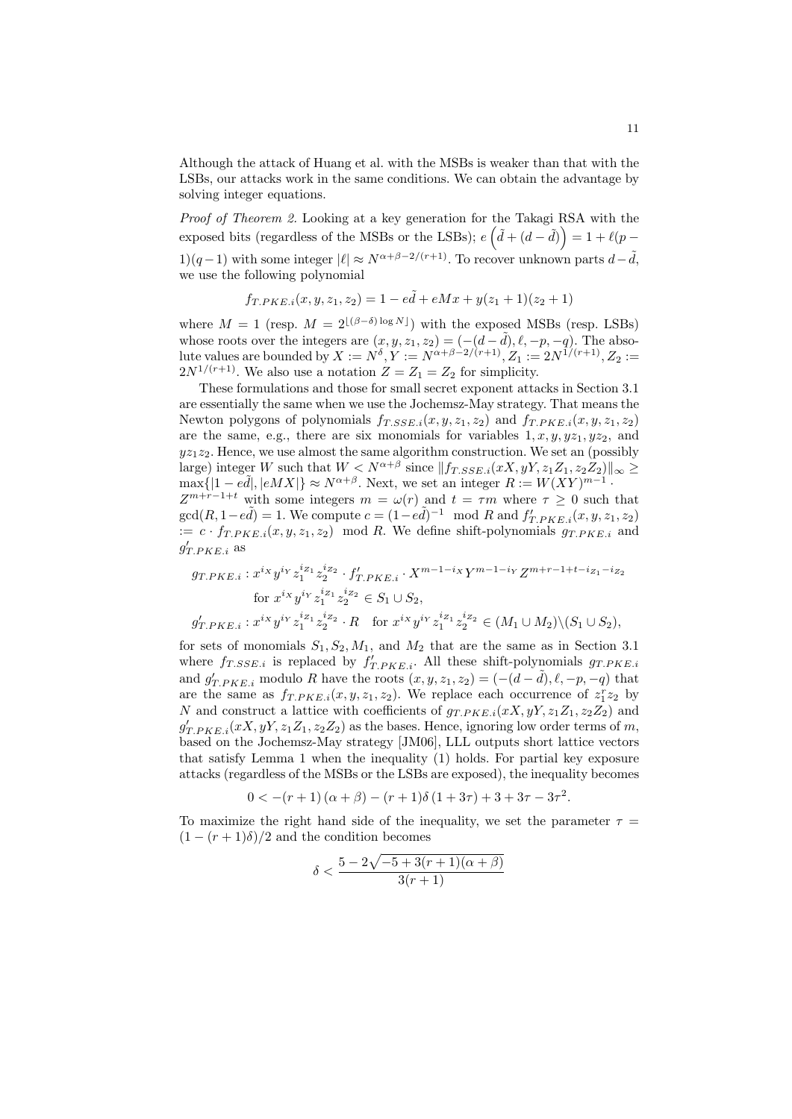Although the attack of Huang et al. with the MSBs is weaker than that with the LSBs, our attacks work in the same conditions. We can obtain the advantage by solving integer equations.

*Proof of Theorem 2.* Looking at a key generation for the Takagi RSA with the exposed bits (regardless of the MSBs or the LSBs);  $e\left(\tilde{d} + (d - \tilde{d})\right) = 1 + \ell(p - \tilde{d})$ 1)( $q$ −1) with some integer  $|\ell| \approx N^{\alpha+\beta-2/(r+1)}$ . To recover unknown parts  $d-\tilde{d}$ , we use the following polynomial

$$
f_{T.PKE.i}(x, y, z_1, z_2) = 1 - e\tilde{d} + eMx + y(z_1 + 1)(z_2 + 1)
$$

where  $M = 1$  (resp.  $M = 2^{\lfloor (\beta - \delta) \log N \rfloor}$ ) with the exposed MSBs (resp. LSBs) whose roots over the integers are  $(x, y, z_1, z_2) = (-(d - \tilde{d}), \ell, -p, -q)$ . The absolute values are bounded by  $X := N^{\delta}, Y := N^{\alpha+\beta-2/(r+1)}, Z_1 := 2N^{1/(r+1)}, Z_2 :=$  $2N^{1/(r+1)}$ . We also use a notation  $Z = Z_1 = Z_2$  for simplicity.

These formulations and those for small secret exponent attacks in Section 3.1 are essentially the same when we use the Jochemsz-May strategy. That means the Newton polygons of polynomials  $f_{T,SE,i}(x, y, z_1, z_2)$  and  $f_{T,PRE,i}(x, y, z_1, z_2)$ are the same, e.g., there are six monomials for variables  $1, x, y, yz_1, yz_2$ , and *yz*1*z*2. Hence, we use almost the same algorithm construction. We set an (possibly  $\langle \text{large} \rangle$  integer *W* such that  $W < N^{\alpha+\beta}$  since  $||f_{T.SSE.i}(xX, yY, z_1Z_1, z_2Z_2)||_{\infty} \ge$  $\max\{|1 - e\tilde{d}|, |eMX|\} \approx N^{\alpha + \beta}$ . Next, we set an integer  $R := W(XY)^{m-1}$ . *Z*<sup>*m*+*r*-1+*t*</sup> with some integers  $m = \omega(r)$  and  $t = \tau m$  where  $\tau \geq 0$  such that gcd(*R*, 1−*e* $d$ ) = 1. We compute  $c = (1 - e d)^{-1}$  mod *R* and  $f'_{T.PKE,i}(x, y, z_1, z_2)$  $:= c \cdot f_{T.PKE,i}(x, y, z_1, z_2) \mod R$ . We define shift-polynomials  $g_{T.PKE,i}$  and  $g'_{T.PKE.i}$  as

$$
g_{T.PKE.i}: x^{i_X} y^{i_Y} z_1^{i_{Z_1}} z_2^{i_{Z_2}} \cdot f'_{T.PKE.i} \cdot X^{m-1-i_X} Y^{m-1-i_Y} Z^{m+r-1+t-i_{Z_1}-i_{Z_2}}
$$
  
for  $x^{i_X} y^{i_Y} z_1^{i_{Z_1}} z_2^{i_{Z_2}} \in S_1 \cup S_2$ ,  

$$
g'_{T.PKE.i}: x^{i_X} y^{i_Y} z_1^{i_{Z_1}} z_2^{i_{Z_2}} \cdot R \text{ for } x^{i_X} y^{i_Y} z_1^{i_{Z_1}} z_2^{i_{Z_2}} \in (M_1 \cup M_2) \setminus (S_1 \cup S_2),
$$

for sets of monomials  $S_1, S_2, M_1$ , and  $M_2$  that are the same as in Section 3.1 where  $f_{T, SSE, i}$  is replaced by  $f'_{T, PKE, i}$ . All these shift-polynomials  $g_{T, PKE, i}$ and  $g'_{T.PKE,i}$  modulo *R* have the roots  $(x, y, z_1, z_2) = (-(d - \tilde{d}), \ell, -p, -q)$  that are the same as  $f_{T.PKE.i}(x, y, z_1, z_2)$ . We replace each occurrence of  $z_1^r z_2$  by *N* and construct a lattice with coefficients of  $g_{T.PKE.i}(xX, yY, z_1Z_1, z_2Z_2)$  and  $g'_{T.PKE.i}(xX, yY, z_1Z_1, z_2Z_2)$  as the bases. Hence, ignoring low order terms of *m*, based on the Jochemsz-May strategy [JM06], LLL outputs short lattice vectors that satisfy Lemma 1 when the inequality (1) holds. For partial key exposure attacks (regardless of the MSBs or the LSBs are exposed), the inequality becomes

$$
0 < -(r+1)(\alpha + \beta) - (r+1)\delta(1+3\tau) + 3 + 3\tau - 3\tau^{2}.
$$

To maximize the right hand side of the inequality, we set the parameter  $\tau =$  $(1 - (r + 1)\delta)/2$  and the condition becomes

$$
\delta < \frac{5 - 2\sqrt{-5 + 3(r+1)(\alpha + \beta)}}{3(r+1)}
$$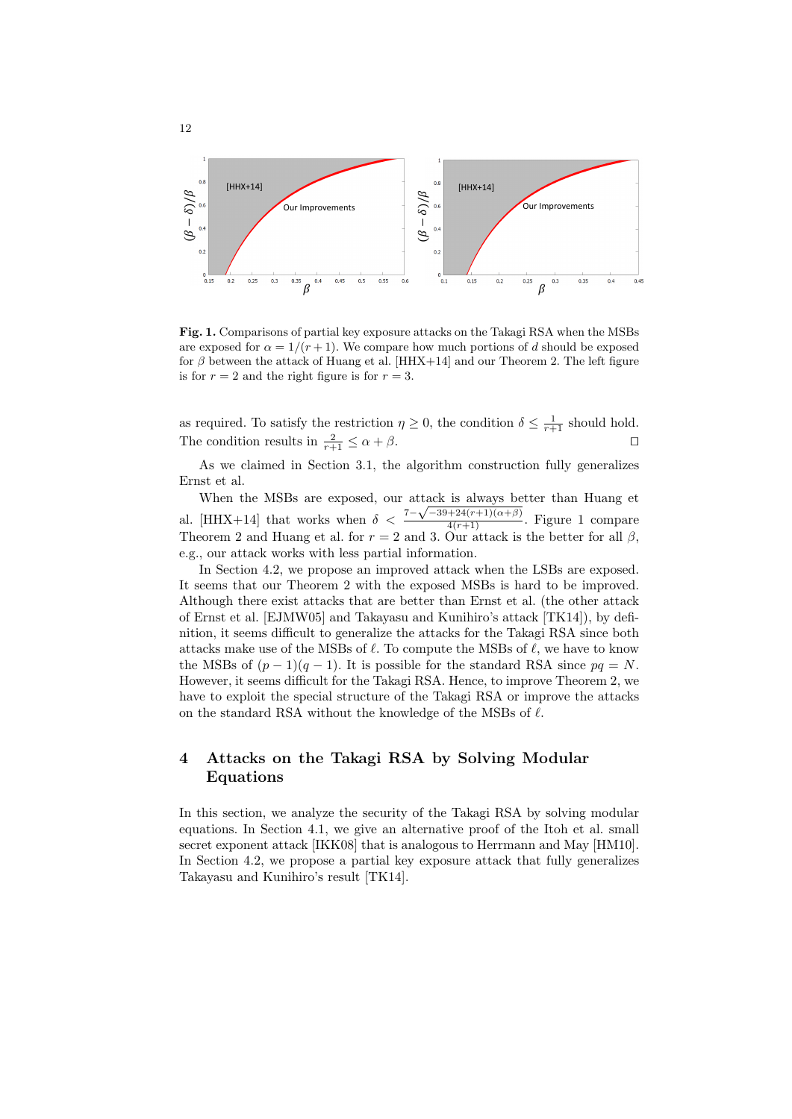

**Fig. 1.** Comparisons of partial key exposure attacks on the Takagi RSA when the MSBs are exposed for  $\alpha = 1/(r+1)$ . We compare how much portions of *d* should be exposed for *β* between the attack of Huang et al. [HHX+14] and our Theorem 2. The left figure is for  $r = 2$  and the right figure is for  $r = 3$ .

as required. To satisfy the restriction  $\eta \geq 0$ , the condition  $\delta \leq \frac{1}{r+1}$  should hold. The condition results in  $\frac{2}{r+1} \leq \alpha + \beta$ .

As we claimed in Section 3.1, the algorithm construction fully generalizes Ernst et al.

When the MSBs are exposed, our attack is always better than Huang et al. [HHX+14] that works when  $\delta < \frac{7-}{4}$  $\frac{\sqrt{-39+24(r+1)(\alpha+\beta)}}{4(r+1)}$ . Figure 1 compare Theorem 2 and Huang et al. for  $r = 2$  and 3. Our attack is the better for all  $\beta$ . e.g., our attack works with less partial information.

In Section 4.2, we propose an improved attack when the LSBs are exposed. It seems that our Theorem 2 with the exposed MSBs is hard to be improved. Although there exist attacks that are better than Ernst et al. (the other attack of Ernst et al. [EJMW05] and Takayasu and Kunihiro's attack [TK14]), by definition, it seems difficult to generalize the attacks for the Takagi RSA since both attacks make use of the MSBs of *ℓ*. To compute the MSBs of *ℓ*, we have to know the MSBs of  $(p-1)(q-1)$ . It is possible for the standard RSA since  $pq = N$ . However, it seems difficult for the Takagi RSA. Hence, to improve Theorem 2, we have to exploit the special structure of the Takagi RSA or improve the attacks on the standard RSA without the knowledge of the MSBs of *ℓ*.

# **4 Attacks on the Takagi RSA by Solving Modular Equations**

In this section, we analyze the security of the Takagi RSA by solving modular equations. In Section 4.1, we give an alternative proof of the Itoh et al. small secret exponent attack [IKK08] that is analogous to Herrmann and May [HM10]. In Section 4.2, we propose a partial key exposure attack that fully generalizes Takayasu and Kunihiro's result [TK14].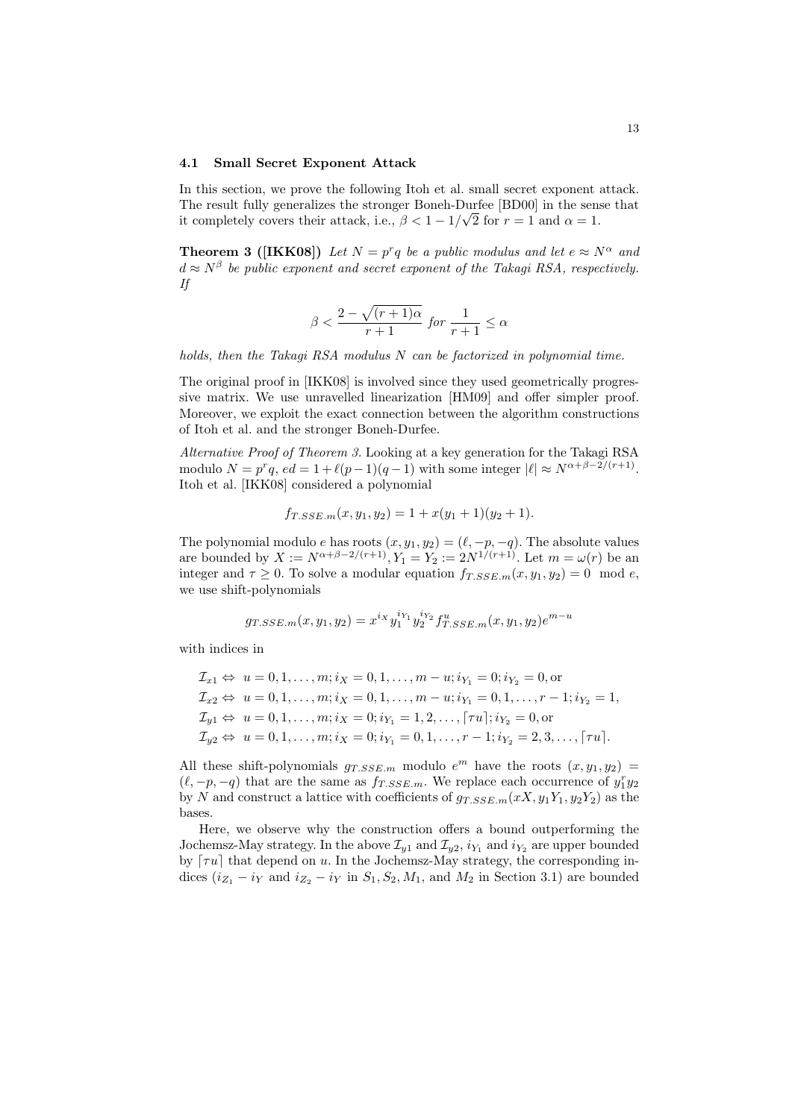#### **4.1 Small Secret Exponent Attack**

In this section, we prove the following Itoh et al. small secret exponent attack. The result fully generalizes the stronger Boneh-Durfee [BD00] in the sense that *√* it completely covers their attack, i.e.,  $\beta < 1 - 1/\sqrt{2}$  for  $r = 1$  and  $\alpha = 1$ .

**Theorem 3 ([IKK08])** *Let*  $N = p^r q$  *be a public modulus and let*  $e \approx N^{\alpha}$  *and*  $d \approx N^{\beta}$  be public exponent and secret exponent of the Takagi RSA, respectively. *If*

$$
\beta < \frac{2 - \sqrt{(r+1)\alpha}}{r+1} \text{ for } \frac{1}{r+1} \le \alpha
$$

*holds, then the Takagi RSA modulus N can be factorized in polynomial time.*

The original proof in [IKK08] is involved since they used geometrically progressive matrix. We use unravelled linearization [HM09] and offer simpler proof. Moreover, we exploit the exact connection between the algorithm constructions of Itoh et al. and the stronger Boneh-Durfee.

*Alternative Proof of Theorem 3.* Looking at a key generation for the Takagi RSA modulo  $N = p^r q$ ,  $ed = 1 + \ell(p-1)(q-1)$  with some integer  $|\ell| \approx N^{\alpha+\beta-2/(r+1)}$ . Itoh et al. [IKK08] considered a polynomial

$$
f_{T.SSE.m}(x, y_1, y_2) = 1 + x(y_1 + 1)(y_2 + 1).
$$

The polynomial modulo *e* has roots  $(x, y_1, y_2) = (\ell, -p, -q)$ . The absolute values are bounded by  $X := N^{\alpha+\beta-2/(r+1)}, Y_1 = Y_2 := 2N^{1/(r+1)}$ . Let  $m = \omega(r)$  be an integer and  $\tau \geq 0$ . To solve a modular equation  $f_{T.SSE,m}(x, y_1, y_2) = 0 \mod e$ , we use shift-polynomials

$$
g_{T.SSE.m}(x,y_1,y_2)=x^{i_X}y_1^{i_{Y_1}}y_2^{i_{Y_2}}f_{T.SSE.m}^u(x,y_1,y_2)e^{m-u}
$$

with indices in

$$
\mathcal{I}_{x1} \Leftrightarrow u = 0, 1, ..., m; i_X = 0, 1, ..., m - u; i_{Y_1} = 0; i_{Y_2} = 0, \text{or}
$$
  
\n
$$
\mathcal{I}_{x2} \Leftrightarrow u = 0, 1, ..., m; i_X = 0, 1, ..., m - u; i_{Y_1} = 0, 1, ..., r - 1; i_{Y_2} = 1,
$$
  
\n
$$
\mathcal{I}_{y1} \Leftrightarrow u = 0, 1, ..., m; i_X = 0; i_{Y_1} = 1, 2, ..., \lceil \tau u \rceil; i_{Y_2} = 0, \text{or}
$$
  
\n
$$
\mathcal{I}_{y2} \Leftrightarrow u = 0, 1, ..., m; i_X = 0; i_{Y_1} = 0, 1, ..., r - 1; i_{Y_2} = 2, 3, ..., \lceil \tau u \rceil.
$$

All these shift-polynomials  $g_{T.SSE,m}$  modulo  $e^m$  have the roots  $(x, y_1, y_2)$  =  $(ℓ, −p, −q)$  that are the same as  $f_{T. SSE.m}$ . We replace each occurrence of  $y_1^r y_2$ by *N* and construct a lattice with coefficients of  $g_{T, SSE, m}(xX, y_1Y_1, y_2Y_2)$  as the bases.

Here, we observe why the construction offers a bound outperforming the Jochemsz-May strategy. In the above  $\mathcal{I}_{y1}$  and  $\mathcal{I}_{y2}$ ,  $i_{Y_1}$  and  $i_{Y_2}$  are upper bounded by  $\lceil \tau u \rceil$  that depend on *u*. In the Jochemsz-May strategy, the corresponding indices  $(i_{Z_1} - i_Y \text{ and } i_{Z_2} - i_Y \text{ in } S_1, S_2, M_1, \text{ and } M_2 \text{ in Section 3.1) are bounded}$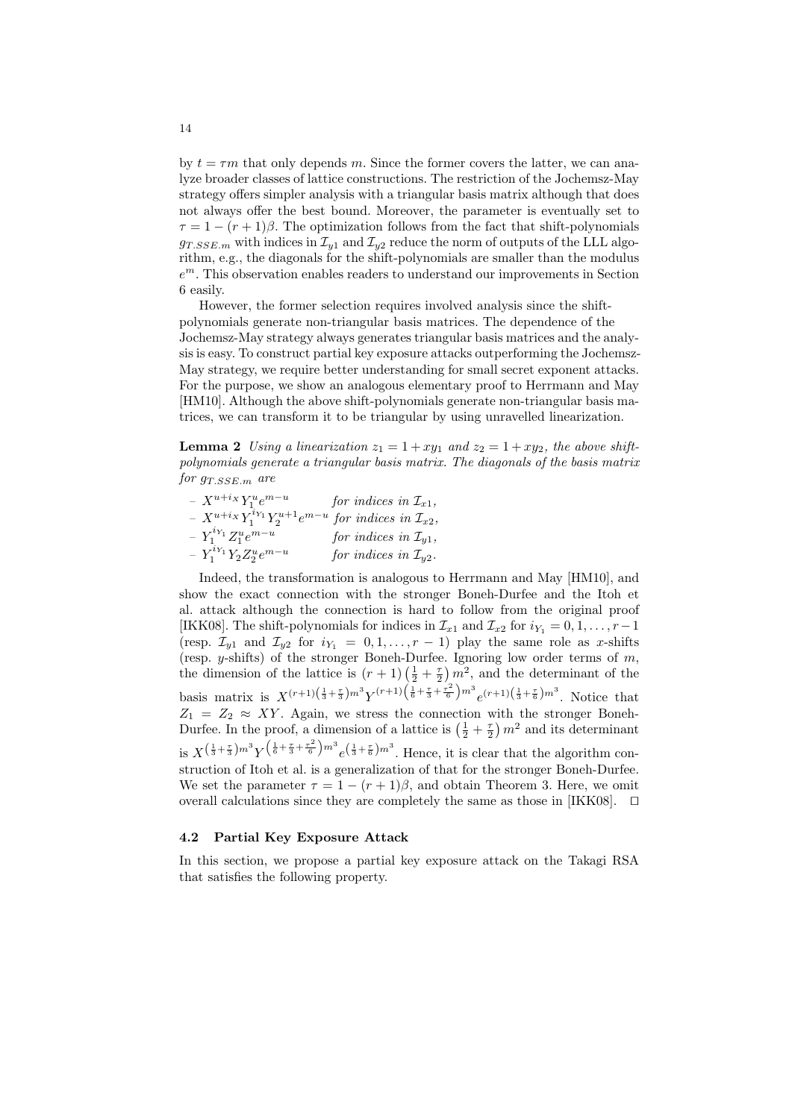by  $t = \tau m$  that only depends m. Since the former covers the latter, we can analyze broader classes of lattice constructions. The restriction of the Jochemsz-May strategy offers simpler analysis with a triangular basis matrix although that does not always offer the best bound. Moreover, the parameter is eventually set to  $\tau = 1 - (r + 1)\beta$ . The optimization follows from the fact that shift-polynomials  $g_{T, SSE, m}$  with indices in  $\mathcal{I}_{y1}$  and  $\mathcal{I}_{y2}$  reduce the norm of outputs of the LLL algorithm, e.g., the diagonals for the shift-polynomials are smaller than the modulus *e <sup>m</sup>*. This observation enables readers to understand our improvements in Section 6 easily.

However, the former selection requires involved analysis since the shiftpolynomials generate non-triangular basis matrices. The dependence of the Jochemsz-May strategy always generates triangular basis matrices and the analysis is easy. To construct partial key exposure attacks outperforming the Jochemsz-May strategy, we require better understanding for small secret exponent attacks. For the purpose, we show an analogous elementary proof to Herrmann and May [HM10]. Although the above shift-polynomials generate non-triangular basis matrices, we can transform it to be triangular by using unravelled linearization.

**Lemma 2** *Using a linearization*  $z_1 = 1 + xy_1$  *and*  $z_2 = 1 + xy_2$ *, the above shiftpolynomials generate a triangular basis matrix. The diagonals of the basis matrix for gT .SSE.m are*

- 
$$
X^{u+i}X_1^u e^{m-u}
$$
 for indices in  $\mathcal{I}_{x_1}$ ,  
\n-  $X^{u+i}X_1^{i}Y_1^{i}Y_2^{u+1}e^{m-u}$  for indices in  $\mathcal{I}_{x_2}$ ,  
\n-  $Y_1^{i}Y_1Z_1^u e^{m-u}$  for indices in  $\mathcal{I}_{y_1}$ ,  
\n-  $Y_1^{i}Y_1Y_2Z_2^u e^{m-u}$  for indices in  $\mathcal{I}_{y_2}$ .

Indeed, the transformation is analogous to Herrmann and May [HM10], and show the exact connection with the stronger Boneh-Durfee and the Itoh et al. attack although the connection is hard to follow from the original proof [IKK08]. The shift-polynomials for indices in  $\mathcal{I}_{x1}$  and  $\mathcal{I}_{x2}$  for  $i_{Y_1} = 0, 1, \ldots, r-1$ (resp.  $\mathcal{I}_{y1}$  and  $\mathcal{I}_{y2}$  for  $i_{Y_1} = 0, 1, \ldots, r-1$ ) play the same role as *x*-shifts (resp. *y*-shifts) of the stronger Boneh-Durfee. Ignoring low order terms of *m*, the dimension of the lattice is  $(r+1)(\frac{1}{2}+\frac{\tau}{2})m^2$ , and the determinant of the basis matrix is  $X^{(r+1)\left(\frac{1}{3} + \frac{r}{3}\right)m^3} Y^{(r+1)\left(\frac{1}{6} + \frac{r}{3} + \frac{r^2}{6}\right)m^3} e^{(r+1)\left(\frac{1}{3} + \frac{r}{6}\right)m^3}$ . Notice that  $Z_1 = Z_2 \approx XY$ . Again, we stress the connection with the stronger Boneh-Durfee. In the proof, a dimension of a lattice is  $(\frac{1}{2} + \frac{\tau}{2}) m^2$  and its determinant is  $X^{\left(\frac{1}{3}+\frac{\tau}{3}\right)m^3}Y^{\left(\frac{1}{6}+\frac{\tau}{3}+\frac{\tau^2}{6}\right)m^3}e^{\left(\frac{1}{3}+\frac{\tau}{6}\right)m^3}$ . Hence, it is clear that the algorithm construction of Itoh et al. is a generalization of that for the stronger Boneh-Durfee. We set the parameter  $\tau = 1 - (r + 1)\beta$ , and obtain Theorem 3. Here, we omit overall calculations since they are completely the same as those in [IKK08]. *⊓⊔*

## **4.2 Partial Key Exposure Attack**

In this section, we propose a partial key exposure attack on the Takagi RSA that satisfies the following property.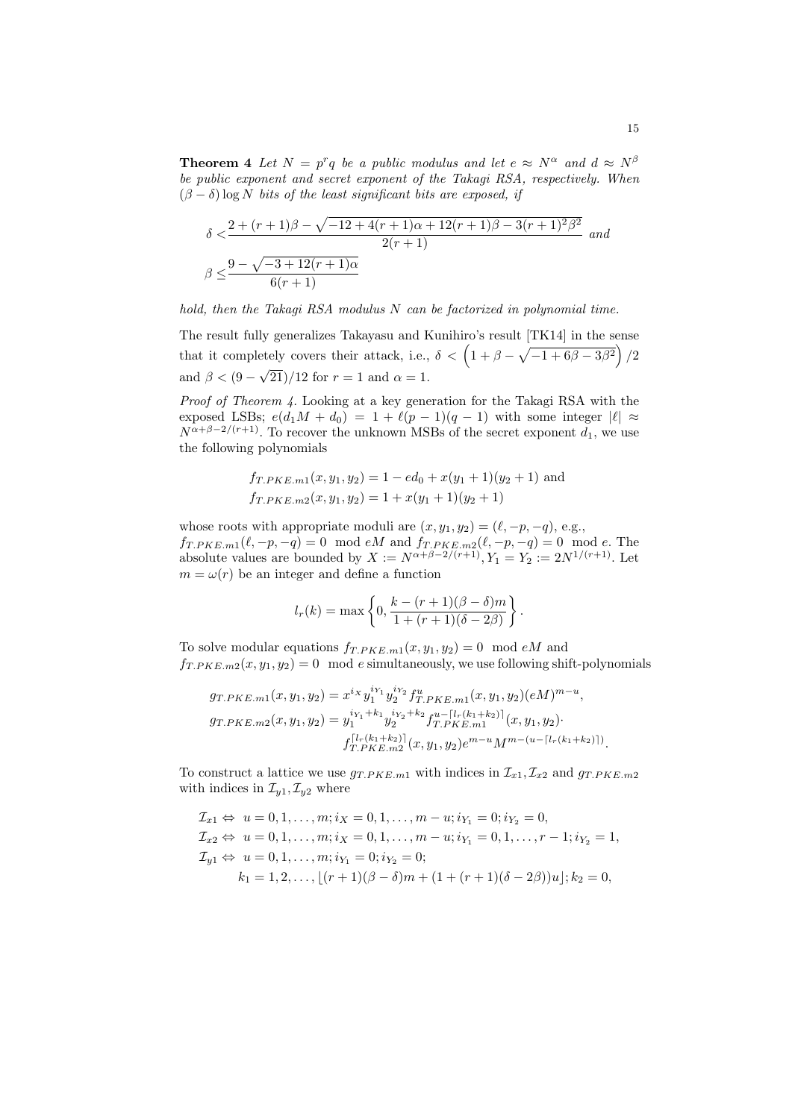**Theorem 4** *Let*  $N = p^r q$  *be a public modulus and let*  $e \approx N^{\alpha}$  *and*  $d \approx N^{\beta}$ *be public exponent and secret exponent of the Takagi RSA, respectively. When*  $(\beta - \delta)$  log *N bits of the least significant bits are exposed, if* 

$$
\delta < \frac{2 + (r+1)\beta - \sqrt{-12 + 4(r+1)\alpha + 12(r+1)\beta - 3(r+1)^2 \beta^2}}{2(r+1)}
$$
 and  

$$
\beta \le \frac{9 - \sqrt{-3 + 12(r+1)\alpha}}{6(r+1)}
$$

*hold, then the Takagi RSA modulus N can be factorized in polynomial time.*

The result fully generalizes Takayasu and Kunihiro's result [TK14] in the sense that it completely covers their attack, i.e.,  $\delta < (1 + \beta - \sqrt{-1 + 6\beta - 3\beta^2})/2$ and  $\beta < (9 - \sqrt{21})/12$  for  $r = 1$  and  $\alpha = 1$ .

*Proof of Theorem 4.* Looking at a key generation for the Takagi RSA with the exposed LSBs;  $e(d_1M + d_0) = 1 + \ell(p-1)(q-1)$  with some integer  $|\ell| \approx$  $N^{\alpha+\beta-2/(r+1)}$ . To recover the unknown MSBs of the secret exponent *d*<sub>1</sub>, we use the following polynomials

$$
f_{T.PKE.m1}(x, y_1, y_2) = 1 - ed_0 + x(y_1 + 1)(y_2 + 1)
$$
 and  
\n $f_{T.PKE.m2}(x, y_1, y_2) = 1 + x(y_1 + 1)(y_2 + 1)$ 

whose roots with appropriate moduli are  $(x, y_1, y_2) = (\ell, -p, -q)$ , e.g.,  $f_{T.PKE.m1}(\ell, -p, -q) = 0 \mod eM \text{ and } f_{T.PKE.m2}(\ell, -p, -q) = 0 \mod e.$  The absolute values are bounded by  $X := N^{\alpha+\beta-2/(r+1)}, Y_1 = Y_2 := 2N^{1/(r+1)}$ . Let  $m = \omega(r)$  be an integer and define a function

$$
l_r(k) = \max \left\{ 0, \frac{k - (r+1)(\beta - \delta)m}{1 + (r+1)(\delta - 2\beta)} \right\}.
$$

To solve modular equations  $f_{T.PKE,m1}(x, y_1, y_2) = 0 \mod eM$  and  $f_{T.PKE,m2}(x, y_1, y_2) = 0 \mod e$  simultaneously, we use following shift-polynomials

$$
g_{T.PKE.m1}(x, y_1, y_2) = x^{i_X} y_1^{i_{Y_1}} y_2^{i_{Y_2}} f_{T.PKE.m1}^u(x, y_1, y_2) (eM)^{m-u},
$$
  
\n
$$
g_{T.PKE.m2}(x, y_1, y_2) = y_1^{i_{Y_1} + k_1} y_2^{i_{Y_2} + k_2} f_{T.PKE.m1}^{u - [l_r(k_1 + k_2)]}(x, y_1, y_2).
$$
  
\n
$$
f_{T.PKE.m2}^{[l_r(k_1 + k_2)]}(x, y_1, y_2) e^{m-u} M^{m-(u - [l_r(k_1 + k_2)])}.
$$

To construct a lattice we use  $g_{T.PKE.m1}$  with indices in  $\mathcal{I}_{x1}, \mathcal{I}_{x2}$  and  $g_{T.PKE.m2}$ with indices in  $\mathcal{I}_{y1}, \mathcal{I}_{y2}$  where

$$
\mathcal{I}_{x1} \Leftrightarrow u = 0, 1, ..., m; i_X = 0, 1, ..., m - u; i_{Y_1} = 0; i_{Y_2} = 0,
$$
  
\n
$$
\mathcal{I}_{x2} \Leftrightarrow u = 0, 1, ..., m; i_X = 0, 1, ..., m - u; i_{Y_1} = 0, 1, ..., r - 1; i_{Y_2} = 1,
$$
  
\n
$$
\mathcal{I}_{y1} \Leftrightarrow u = 0, 1, ..., m; i_{Y_1} = 0; i_{Y_2} = 0;
$$
  
\n
$$
k_1 = 1, 2, ..., \lfloor (r+1)(\beta - \delta)m + (1 + (r+1)(\delta - 2\beta))u \rfloor; k_2 = 0,
$$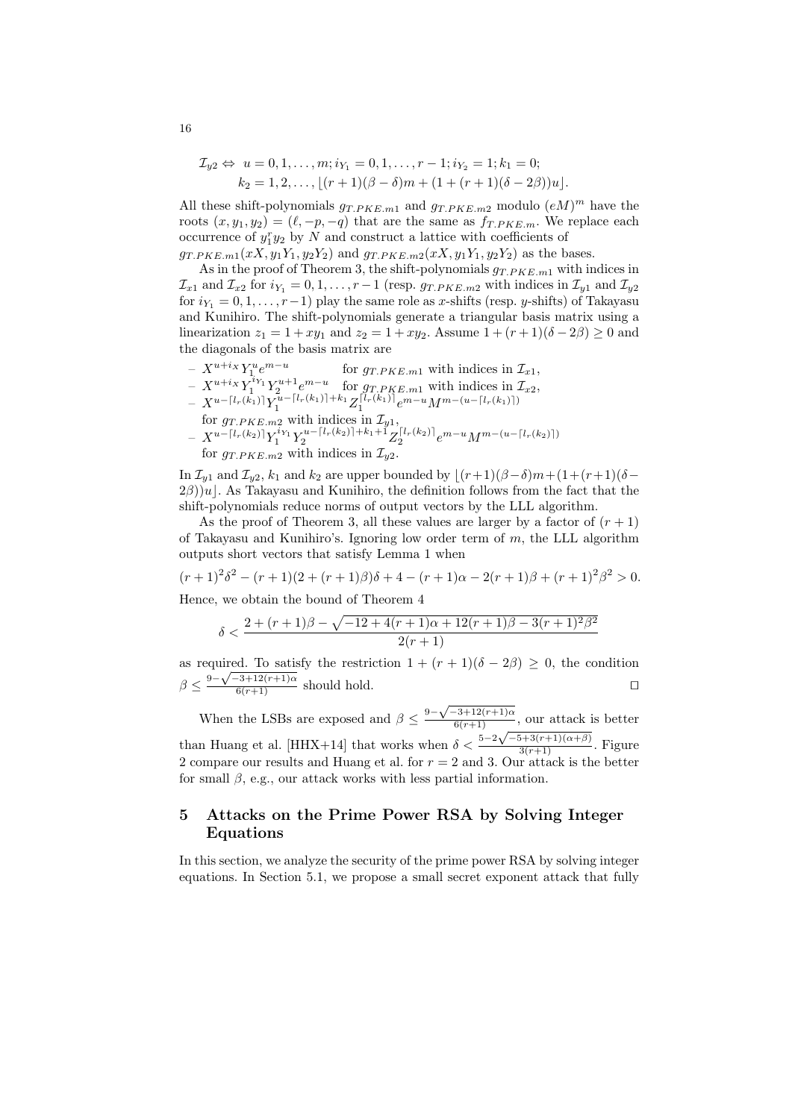$$
\mathcal{I}_{y2} \Leftrightarrow u = 0, 1, \dots, m; i_{Y_1} = 0, 1, \dots, r - 1; i_{Y_2} = 1; k_1 = 0; k_2 = 1, 2, \dots, \lfloor (r+1)(\beta - \delta)m + (1 + (r+1)(\delta - 2\beta))u \rfloor.
$$

All these shift-polynomials  $g_{T.PKE.m1}$  and  $g_{T.PKE.m2}$  modulo  $(eM)^m$  have the roots  $(x, y_1, y_2) = (\ell, -p, -q)$  that are the same as  $f_{T.PKE.m}$ . We replace each occurrence of  $y_1^r y_2$  by  $N$  and construct a lattice with coefficients of  $g_{T.PKE.m1}(xX, y_1Y_1, y_2Y_2)$  and  $g_{T.PKE.m2}(xX, y_1Y_1, y_2Y_2)$  as the bases.

As in the proof of Theorem 3, the shift-polynomials *gT .PKE.m*<sup>1</sup> with indices in  $\mathcal{I}_{x1}$  and  $\mathcal{I}_{x2}$  for  $i_{Y_1} = 0, 1, \ldots, r-1$  (resp.  $g_{T, PKE,m2}$  with indices in  $\mathcal{I}_{y1}$  and  $\mathcal{I}_{y2}$ for  $i_{Y_1} = 0, 1, \ldots, r-1$ ) play the same role as *x*-shifts (resp. *y*-shifts) of Takayasu and Kunihiro. The shift-polynomials generate a triangular basis matrix using a linearization  $z_1 = 1 + xy_1$  and  $z_2 = 1 + xy_2$ . Assume  $1 + (r+1)(\delta - 2\beta) \geq 0$  and the diagonals of the basis matrix are

 $- X^{u+i} X Y_1^u e^{m-u}$ 1 – *X<sup>u</sup>*+*i<sup>X</sup> Y iY*<sup>1</sup> <sup>1</sup> *Y u*+1 2 *e m−u* for *gT .PKE.m*<sup>1</sup> with indices in *Ix*2, for  $g_{T.PKE.m1}$  with indices in  $\mathcal{I}_{x1}$ ,  $- X^{u-[l_r(k_1)]} Y_1^{\overline{u}-\lceil l_r(k_1) \rceil + k_1} Z_1^{\lceil l_r(k_1) \rceil} e^{m-u} M^{m-(u-\lceil l_r(k_1) \rceil)}$ for  $g_{T.PKE.m2}$  with indices in  $\mathcal{I}_{y1}$ ,  $- X^{u - \lceil l_r(k_2) \rceil} Y_1^{i_{Y_1}} Y_2^{u - \lceil l_r(k_2) \rceil + k_1 + 1} Z_2^{\lceil l_r(k_2) \rceil} e^{m - u} M^{m - (u - \lceil l_r(k_2) \rceil)}$ for  $g_{T.PKE.m2}$  with indices in  $\mathcal{I}_{v2}$ .

In  $\mathcal{I}_{y1}$  and  $\mathcal{I}_{y2}$ ,  $k_1$  and  $k_2$  are upper bounded by  $\lfloor (r+1)(\beta-\delta)m+(1+(r+1)(\delta-\delta)m\rfloor)$  $(2\beta)u\vert$ . As Takayasu and Kunihiro, the definition follows from the fact that the shift-polynomials reduce norms of output vectors by the LLL algorithm.

As the proof of Theorem 3, all these values are larger by a factor of  $(r + 1)$ of Takayasu and Kunihiro's. Ignoring low order term of *m*, the LLL algorithm outputs short vectors that satisfy Lemma 1 when

$$
(r+1)^2\delta^2 - (r+1)(2+(r+1)\beta)\delta + 4 - (r+1)\alpha - 2(r+1)\beta + (r+1)^2\beta^2 > 0.
$$

Hence, we obtain the bound of Theorem 4

$$
\delta < \frac{2+(r+1)\beta - \sqrt{-12+4(r+1)\alpha + 12(r+1)\beta - 3(r+1)^2\beta^2}}{2(r+1)}
$$

as required. To satisfy the restriction  $1 + (r + 1)(\delta - 2\beta) \geq 0$ , the condition  $\beta \le \frac{9-\sqrt{-3+12(r+1)\alpha}}{6(r+1)}$  should hold.  $\Box$ 

When the LSBs are exposed and  $\beta \leq \frac{9-\sqrt{-3+12(r+1)\alpha}}{6(r+1)}$ , our attack is better than Huang et al. [HHX+14] that works when  $\delta < \frac{5-2\sqrt{-5+3(r+1)(\alpha+\beta)}}{3(r+1)}$ . Figure 2 compare our results and Huang et al. for  $r = 2$  and 3. Our attack is the better for small  $\beta$ , e.g., our attack works with less partial information.

# **5 Attacks on the Prime Power RSA by Solving Integer Equations**

In this section, we analyze the security of the prime power RSA by solving integer equations. In Section 5.1, we propose a small secret exponent attack that fully

16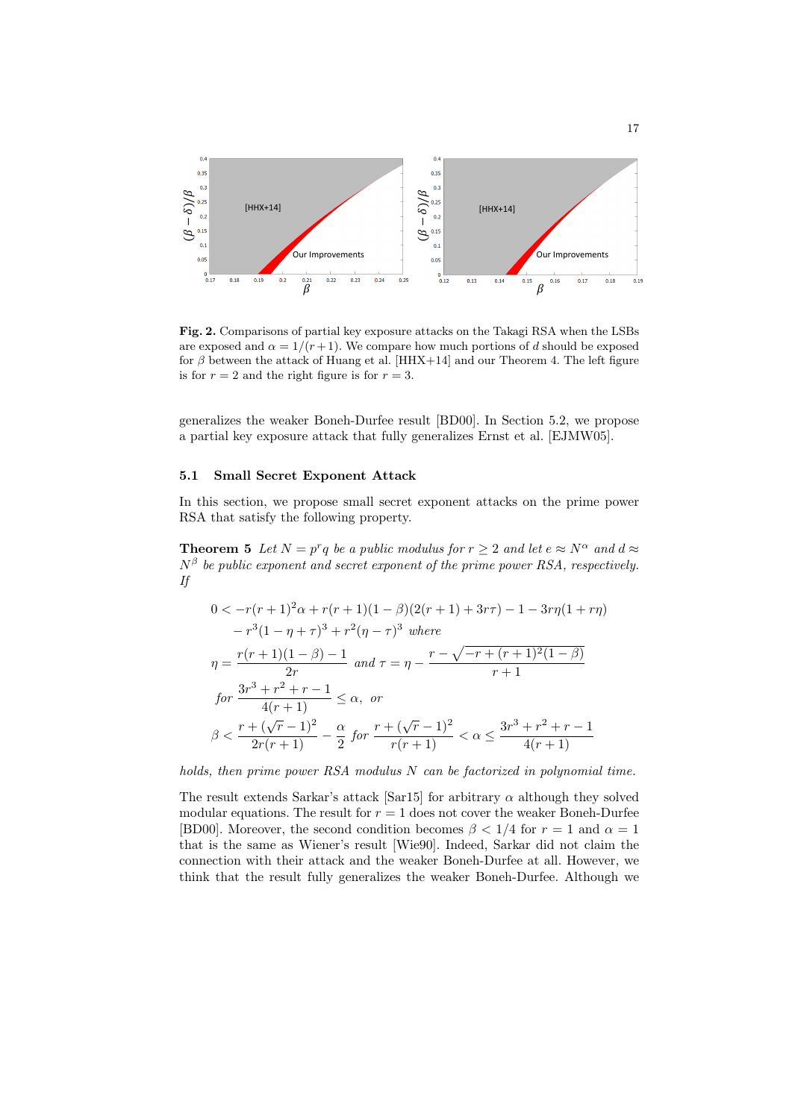

**Fig. 2.** Comparisons of partial key exposure attacks on the Takagi RSA when the LSBs are exposed and  $\alpha = 1/(r+1)$ . We compare how much portions of *d* should be exposed for *β* between the attack of Huang et al. [HHX+14] and our Theorem 4. The left figure is for  $r = 2$  and the right figure is for  $r = 3$ .

generalizes the weaker Boneh-Durfee result [BD00]. In Section 5.2, we propose a partial key exposure attack that fully generalizes Ernst et al. [EJMW05].

## **5.1 Small Secret Exponent Attack**

In this section, we propose small secret exponent attacks on the prime power RSA that satisfy the following property.

**Theorem 5** Let  $N = p^r q$  be a public modulus for  $r \geq 2$  and let  $e \approx N^{\alpha}$  and  $d \approx$  $N^{\beta}$  be public exponent and secret exponent of the prime power RSA, respectively. *If*

$$
0 < -r(r+1)^2 \alpha + r(r+1)(1-\beta)(2(r+1) + 3r\tau) - 1 - 3r\eta(1+r\eta)
$$
\n
$$
-r^3(1-\eta+\tau)^3 + r^2(\eta-\tau)^3 \text{ where}
$$
\n
$$
\eta = \frac{r(r+1)(1-\beta)-1}{2r} \text{ and } \tau = \eta - \frac{r-\sqrt{-r+(r+1)^2(1-\beta)}}{r+1}
$$
\n
$$
\text{for } \frac{3r^3+r^2+r-1}{4(r+1)} \le \alpha, \text{ or}
$$
\n
$$
\beta < \frac{r+(\sqrt{r}-1)^2}{2r(r+1)} - \frac{\alpha}{2} \text{ for } \frac{r+(\sqrt{r}-1)^2}{r(r+1)} < \alpha \le \frac{3r^3+r^2+r-1}{4(r+1)}
$$

*holds, then prime power RSA modulus N can be factorized in polynomial time.*

The result extends Sarkar's attack [Sar15] for arbitrary *α* although they solved modular equations. The result for  $r = 1$  does not cover the weaker Boneh-Durfee [BD00]. Moreover, the second condition becomes  $\beta < 1/4$  for  $r = 1$  and  $\alpha = 1$ that is the same as Wiener's result [Wie90]. Indeed, Sarkar did not claim the connection with their attack and the weaker Boneh-Durfee at all. However, we think that the result fully generalizes the weaker Boneh-Durfee. Although we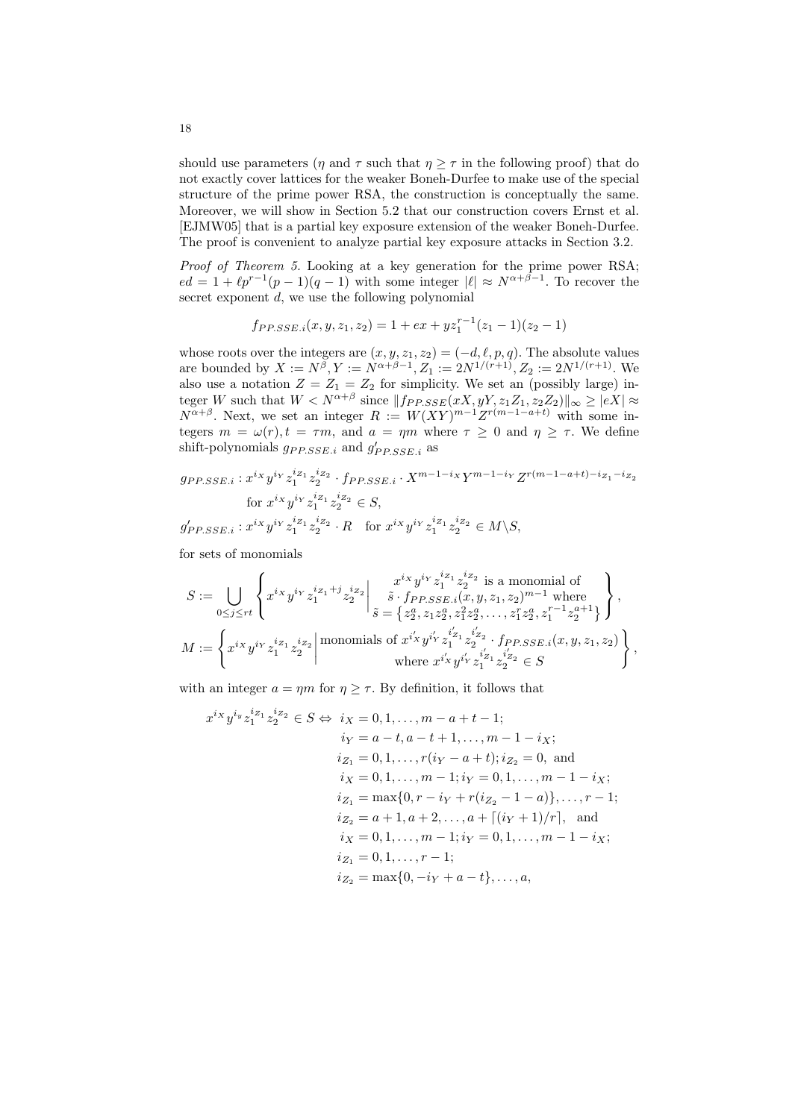should use parameters (*η* and  $\tau$  such that  $\eta \geq \tau$  in the following proof) that do not exactly cover lattices for the weaker Boneh-Durfee to make use of the special structure of the prime power RSA, the construction is conceptually the same. Moreover, we will show in Section 5.2 that our construction covers Ernst et al. [EJMW05] that is a partial key exposure extension of the weaker Boneh-Durfee. The proof is convenient to analyze partial key exposure attacks in Section 3.2.

*Proof of Theorem 5.* Looking at a key generation for the prime power RSA;  $ed = 1 + \ell p^{r-1}(p-1)(q-1)$  with some integer  $|\ell| \approx N^{\alpha+\beta-1}$ . To recover the secret exponent *d*, we use the following polynomial

$$
f_{PP.SSE.i}(x, y, z_1, z_2) = 1 + ex + yz_1^{r-1}(z_1 - 1)(z_2 - 1)
$$

whose roots over the integers are  $(x, y, z_1, z_2) = (-d, \ell, p, q)$ . The absolute values are bounded by  $X := N^{\beta}, Y := N^{\alpha+\beta-1}, Z_1 := 2N^{1/(r+1)}, Z_2 := 2N^{1/(r+1)}$ . We also use a notation  $Z = Z_1 = Z_2$  for simplicity. We set an (possibly large) in- $\text{degree } W$  such that  $W < N^{\alpha+\beta}$  since  $||f_{PP, SSE}(xX, yY, z_1Z_1, z_2Z_2)||_{\infty} \geq |eX| \approx$  $N^{\alpha+\beta}$ . Next, we set an integer  $R := W(XY)^{m-1}Z^{r(m-1-a+t)}$  with some integers  $m = \omega(r)$ ,  $t = \tau m$ , and  $a = \eta m$  where  $\tau \ge 0$  and  $\eta \ge \tau$ . We define shift-polynomials  $g_{PP, SSE, i}$  and  $g'_{PP, SSE, i}$  as

$$
g_{PP. SSE.i}: x^{ix} y^{i_Y} z_1^{i_{Z_1}} z_2^{i_{Z_2}} \cdot f_{PP. SSE.i} \cdot X^{m-1-i_X} Y^{m-1-i_Y} Z^{r(m-1-a+t)-i_{Z_1}-i_{Z_2}}
$$
  
for  $x^{ix} y^{i_Y} z_1^{i_{Z_1}} z_2^{i_{Z_2}} \in S$ ,  

$$
g'_{PP. SSE.i}: x^{ix} y^{i_Y} z_1^{i_{Z_1}} z_2^{i_{Z_2}} \cdot R \text{ for } x^{i_X} y^{i_Y} z_1^{i_{Z_1}} z_2^{i_{Z_2}} \in M \backslash S
$$
,

for sets of monomials

$$
\begin{split} S &:= \bigcup_{0\leq j\leq rt}\left\{x^{i_X}y^{i_Y}z_1^{i z_1+j}z_2^{i z_2}\bigg| \begin{array}{c} x^{i_X}y^{i_Y}z_1^{i z_1}z_2^{i z_2} \text{ is a monomial of}\\ \tilde{s}\cdot f_{PP,SSE.i}(x,y,z_1,z_2)^{m-1} \text{ where}\\ \tilde{s} &= \left\{z_2^a,z_1z_2^a,z_1^2z_2^a,\ldots,z_1^rz_2^a,z_1^{r-1}z_2^{a+1}\right\}\end{array}\right\},\\ M &:=\left\{x^{i_X}y^{i_Y}z_1^{i z_1}z_2^{i z_2}\bigg|\text{monomials of } x^{i'_X}y^{i'_Y}z_1^{i'_Z_1}z_2^{i'_Z_2}\cdot f_{PP,SSE.i}(x,y,z_1,z_2)\right\},\\ \text{where } x^{i'_X}y^{i'_Y}z_1^{i'_Z_1}z_2^{i'_Z_2}\in S\end{split}\right\}, \end{split}
$$

with an integer  $a = \eta m$  for  $\eta \geq \tau$ . By definition, it follows that

$$
x^{ix}y^{i_y}z_1^{i_{z_1}}z_2^{i_{z_2}} \in S \Leftrightarrow i_X = 0, 1, ..., m - a + t - 1;
$$
  
\n
$$
i_Y = a - t, a - t + 1, ..., m - 1 - i_X;
$$
  
\n
$$
i_{Z_1} = 0, 1, ..., r(i_Y - a + t); i_{Z_2} = 0, \text{ and}
$$
  
\n
$$
i_X = 0, 1, ..., m - 1; i_Y = 0, 1, ..., m - 1 - i_X;
$$
  
\n
$$
i_{Z_1} = \max\{0, r - i_Y + r(i_{Z_2} - 1 - a)\}, ..., r - 1;
$$
  
\n
$$
i_{Z_2} = a + 1, a + 2, ..., a + [(i_Y + 1)/r], \text{ and}
$$
  
\n
$$
i_X = 0, 1, ..., m - 1; i_Y = 0, 1, ..., m - 1 - i_X;
$$
  
\n
$$
i_{Z_1} = 0, 1, ..., r - 1;
$$
  
\n
$$
i_{Z_2} = \max\{0, -i_Y + a - t\}, ..., a,
$$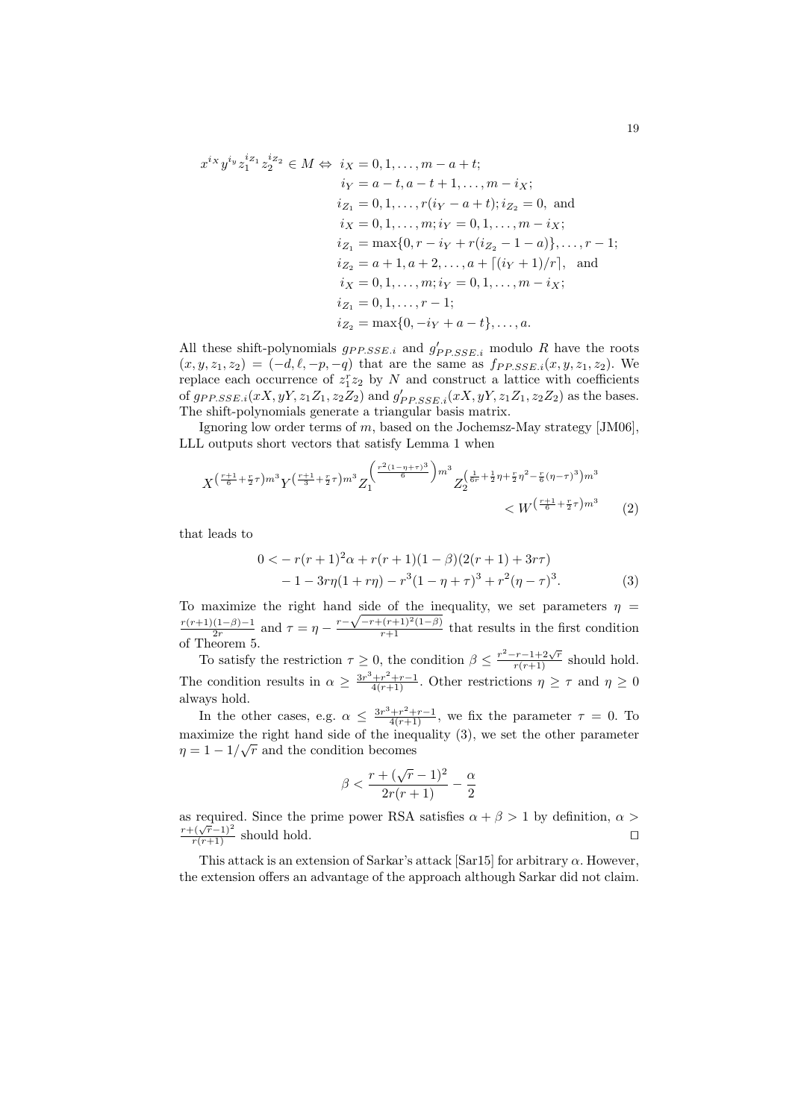$$
x^{i_X} y^{i_y} z_1^{i_{Z_1}} z_2^{i_{Z_2}} \in M \Leftrightarrow i_X = 0, 1, ..., m - a + t;
$$
  
\n
$$
i_Y = a - t, a - t + 1, ..., m - i_X;
$$
  
\n
$$
i_{Z_1} = 0, 1, ..., r(i_Y - a + t); i_{Z_2} = 0, \text{ and }
$$
  
\n
$$
i_X = 0, 1, ..., m; i_Y = 0, 1, ..., m - i_X;
$$
  
\n
$$
i_{Z_1} = \max\{0, r - i_Y + r(i_{Z_2} - 1 - a)\}, ..., r - 1;
$$
  
\n
$$
i_{Z_2} = a + 1, a + 2, ..., a + \lfloor (i_Y + 1)/r \rfloor, \text{ and }
$$
  
\n
$$
i_X = 0, 1, ..., m; i_Y = 0, 1, ..., m - i_X;
$$
  
\n
$$
i_{Z_1} = 0, 1, ..., r - 1;
$$
  
\n
$$
i_{Z_2} = \max\{0, -i_Y + a - t\}, ..., a.
$$

All these shift-polynomials  $g_{PP. SSE.i}$  and  $g'_{PP. SSE.i}$  modulo  $R$  have the roots  $(x, y, z_1, z_2) = (-d, \ell, -p, -q)$  that are the same as  $f_{PP. SSE, i}(x, y, z_1, z_2)$ . We replace each occurrence of  $z_1^r z_2$  by  $N$  and construct a lattice with coefficients of  $g_{PP. SSE.i}(xX, yY, z_1Z_1, z_2Z_2)$  and  $g'_{PP. SSE.i}(xX, yY, z_1Z_1, z_2Z_2)$  as the bases. The shift-polynomials generate a triangular basis matrix.

Ignoring low order terms of *m*, based on the Jochemsz-May strategy [JM06], LLL outputs short vectors that satisfy Lemma 1 when

$$
X^{\left(\frac{r+1}{6} + \frac{r}{2}\tau\right)m^3} Y^{\left(\frac{r+1}{3} + \frac{r}{2}\tau\right)m^3} Z_1^{\left(\frac{r^2(1-\eta+\tau)^3}{6}\right)m^3} Z_2^{\left(\frac{1}{6r} + \frac{1}{2}\eta + \frac{r}{2}\eta^2 - \frac{r}{6}(\eta-\tau)^3\right)m^3} < W^{\left(\frac{r+1}{6} + \frac{r}{2}\tau\right)m^3}
$$
(2)

that leads to

$$
0 < -r(r+1)^{2} \alpha + r(r+1)(1-\beta)(2(r+1) + 3r\tau) -1 - 3r\eta(1+r\eta) - r^{3}(1-\eta+\tau)^{3} + r^{2}(\eta-\tau)^{3}.
$$
 (3)

To maximize the right hand side of the inequality, we set parameters  $\eta$  = *r*(*r*+1)(1*−β*)*−*1 aximize the right hand side of the inequality, we set parameters  $\eta = \frac{(1-\beta)-1}{2r}$  and  $\tau = \eta - \frac{r-\sqrt{-r+(r+1)^2(1-\beta)}}{r+1}$  that results in the first condition of Theorem 5.

To satisfy the restriction  $\tau \geq 0$ , the condition  $\beta \leq \frac{r^2 - r - 1 + 2\sqrt{r}}{r(r+1)}$  should hold. The condition results in  $\alpha \geq \frac{3r^3+r^2+r-1}{4(r+1)}$ . Other restrictions  $\eta \geq \tau$  and  $\eta \geq 0$ always hold.

In the other cases, e.g.  $\alpha \leq \frac{3r^3+r^2+r-1}{4(r+1)}$ , we fix the parameter  $\tau = 0$ . To maximize the right hand side of the inequality (3), we set the other parameter *√*  $\eta = 1 - 1/\sqrt{r}$  and the condition becomes

$$
\beta < \frac{r + (\sqrt{r} - 1)^2}{2r(r+1)} - \frac{\alpha}{2}
$$

as required. Since the prime power RSA satisfies  $\alpha + \beta > 1$  by definition,  $\alpha > \frac{r+(\sqrt{r}-1)^2}{r(r+1)}$  should hold.  $\Box$ 

This attack is an extension of Sarkar's attack [Sar15] for arbitrary *α*. However, the extension offers an advantage of the approach although Sarkar did not claim.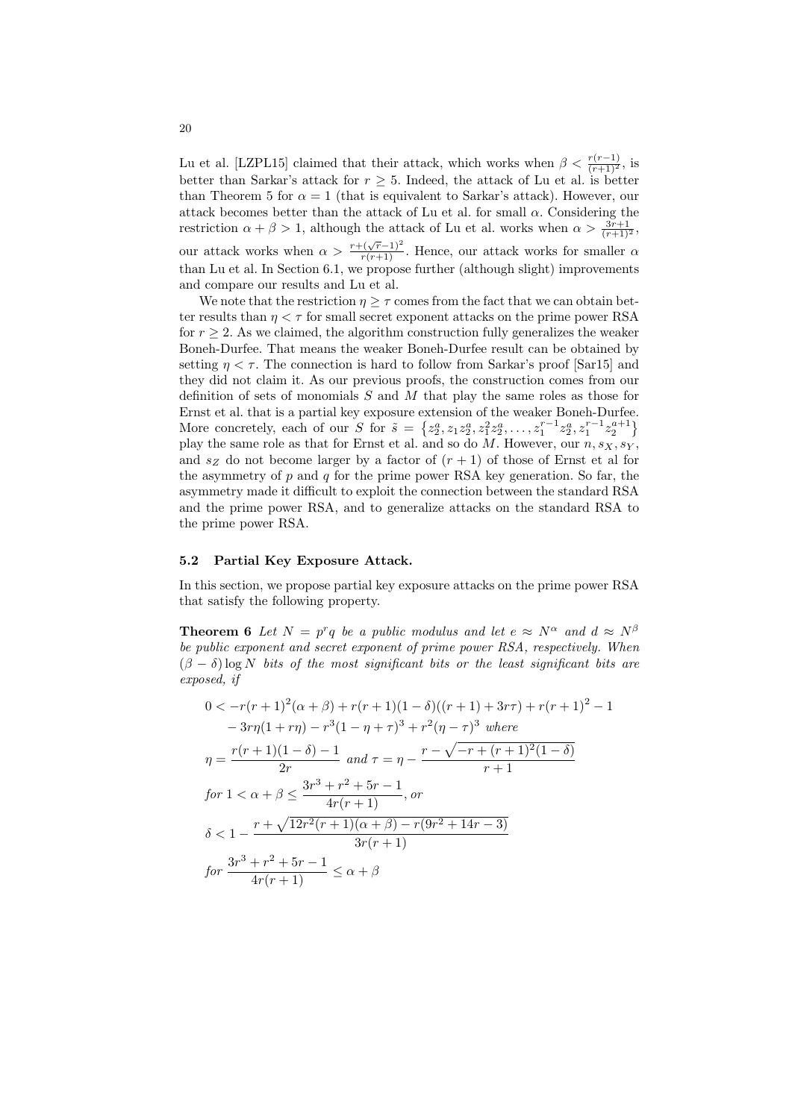Lu et al. [LZPL15] claimed that their attack, which works when  $\beta < \frac{r(r-1)}{(r+1)^2}$ , is better than Sarkar's attack for  $r \geq 5$ . Indeed, the attack of Lu et al. is better than Theorem 5 for  $\alpha = 1$  (that is equivalent to Sarkar's attack). However, our attack becomes better than the attack of Lu et al. for small  $\alpha$ . Considering the restriction  $\alpha + \beta > 1$ , although the attack of Lu et al. works when  $\alpha > \frac{3r+1}{(r+1)^2}$ , our attack works when  $\alpha > \frac{r+(\sqrt{r}-1)^2}{r(r+1)}$ . Hence, our attack works for smaller  $\alpha$ than Lu et al. In Section 6.1, we propose further (although slight) improvements and compare our results and Lu et al.

We note that the restriction  $\eta \geq \tau$  comes from the fact that we can obtain better results than  $n \leq \tau$  for small secret exponent attacks on the prime power RSA for  $r \geq 2$ . As we claimed, the algorithm construction fully generalizes the weaker Boneh-Durfee. That means the weaker Boneh-Durfee result can be obtained by setting  $\eta < \tau$ . The connection is hard to follow from Sarkar's proof [Sar15] and they did not claim it. As our previous proofs, the construction comes from our definition of sets of monomials *S* and *M* that play the same roles as those for Ernst et al. that is a partial key exposure extension of the weaker Boneh-Durfee. More concretely, each of our S for  $\tilde{s} = \{z_2^a, z_1z_2^a, z_1^2z_2^a, \ldots, z_1^{r-1}z_2^a, z_1^{r-1}z_2^{a+1}\}\$ play the same role as that for Ernst et al. and so do  $M$ . However, our  $n, s_X, s_Y$ , and  $s_Z$  do not become larger by a factor of  $(r + 1)$  of those of Ernst et al for the asymmetry of *p* and *q* for the prime power RSA key generation. So far, the asymmetry made it difficult to exploit the connection between the standard RSA and the prime power RSA, and to generalize attacks on the standard RSA to the prime power RSA.

### **5.2 Partial Key Exposure Attack.**

In this section, we propose partial key exposure attacks on the prime power RSA that satisfy the following property.

**Theorem 6** *Let*  $N = p^r q$  *be a public modulus and let*  $e \approx N^{\alpha}$  *and*  $d \approx N^{\beta}$ *be public exponent and secret exponent of prime power RSA, respectively. When*  $(\beta - \delta)$  log *N* bits of the most significant bits or the least significant bits are *exposed, if*

$$
0 < -r(r+1)^2(\alpha+\beta) + r(r+1)(1-\delta)((r+1) + 3r\tau) + r(r+1)^2 - 1
$$
\n
$$
-3r\eta(1+r\eta) - r^3(1-\eta+\tau)^3 + r^2(\eta-\tau)^3 \text{ where}
$$
\n
$$
\eta = \frac{r(r+1)(1-\delta) - 1}{2r} \text{ and } \tau = \eta - \frac{r - \sqrt{-r + (r+1)^2(1-\delta)}}{r+1}
$$
\n
$$
\text{for } 1 < \alpha + \beta \le \frac{3r^3 + r^2 + 5r - 1}{4r(r+1)}, \text{ or}
$$
\n
$$
\delta < 1 - \frac{r + \sqrt{12r^2(r+1)(\alpha+\beta) - r(9r^2 + 14r - 3)}}{3r(r+1)}
$$
\n
$$
\text{for } \frac{3r^3 + r^2 + 5r - 1}{4r(r+1)} \le \alpha + \beta
$$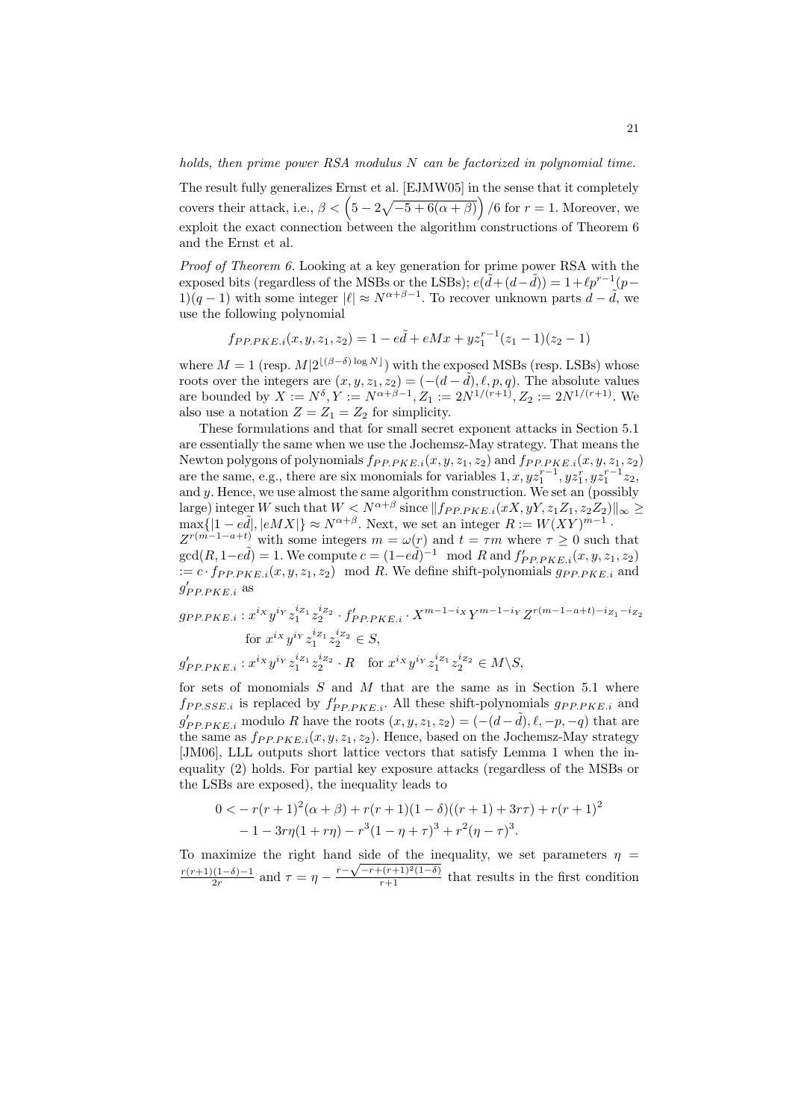*holds, then prime power RSA modulus N can be factorized in polynomial time.*

The result fully generalizes Ernst et al. [EJMW05] in the sense that it completely covers their attack, i.e.,  $\beta < (5 - 2\sqrt{-5 + 6(\alpha + \beta)})$  /6 for  $r = 1$ . Moreover, we exploit the exact connection between the algorithm constructions of Theorem 6 and the Ernst et al.

*Proof of Theorem 6.* Looking at a key generation for prime power RSA with the exposed bits (regardless of the MSBs or the LSBs);  $e(\tilde{d} + (d - \tilde{d})) = 1 + \ell p^{r-1}(p -$ 1) $(q - 1)$  with some integer  $|l| \approx N^{\alpha + \beta - 1}$ . To recover unknown parts  $d - d$ , we use the following polynomial

$$
f_{PP.PKE.i}(x, y, z_1, z_2) = 1 - e\tilde{d} + eMx + yz_1^{r-1}(z_1 - 1)(z_2 - 1)
$$

where  $M = 1$  (resp.  $M|2^{\lfloor(\beta-\delta)\log N\rfloor}$ ) with the exposed MSBs (resp. LSBs) whose roots over the integers are  $(x, y, z_1, z_2) = (-(d - \tilde{d}), \ell, p, q)$ . The absolute values are bounded by  $X := N^{\delta}, Y := N^{\alpha+\beta-1}, Z_1 := 2N^{1/(r+1)}, Z_2 := 2N^{1/(r+1)}$ . We also use a notation  $Z = Z_1 = Z_2$  for simplicity.

These formulations and that for small secret exponent attacks in Section 5.1 are essentially the same when we use the Jochemsz-May strategy. That means the Newton polygons of polynomials  $f_{PP, PKE,i}(x, y, z_1, z_2)$  and  $f_{PP, PKE,i}(x, y, z_1, z_2)$ are the same, e.g., there are six monomials for variables  $1, x, yz_1^{r-1}, yz_1^{r}, yz_1^{r-1}z_2$ , and *y*. Hence, we use almost the same algorithm construction. We set an (possibly  $\langle \text{large} \rangle$  integer *W* such that  $W < N^{\alpha+\beta}$  since  $||f_{PP,PKE.i}(xX, yY, z_1Z_1, z_2Z_2)||_{\infty} \ge$  $\max\{|1 - e\tilde{d}|, |eMX|\} \approx N^{\alpha + \beta}$ . Next, we set an integer  $R := W(XY)^{m-1}$ . *Z*<sup>*r*(*m*−1−*a*+*t*) with some integers  $m = \omega(r)$  and  $t = \tau m$  where  $\tau \geq 0$  such that</sup> gcd( $R$ , 1−*e* $\tilde{d}$ ) = 1. We compute  $c = (1 - e\tilde{d})^{-1}$  mod  $R$  and  $f'_{PP.PKE,i}(x, y, z_1, z_2)$  $:= c \cdot f_{PP,PKE,i}(x, y, z_1, z_2) \mod R$ . We define shift-polynomials  $g_{PP,PKE,i}$  and  $g'_{PP,PKE.i}$  as

$$
g_{PP.PKE.i}: x^{i_X} y^{i_Y} z_1^{i_{Z_1}} z_2^{i_{Z_2}} \cdot f'_{PP.PKE.i} \cdot X^{m-1-i_X} Y^{m-1-i_Y} Z^{r(m-1-a+t)-i_{Z_1}-i_{Z_2}}
$$
  
for  $x^{i_X} y^{i_Y} z_1^{i_{Z_1}} z_2^{i_{Z_2}} \in S$ ,

 $g'_{PP.PKE.i} : x^{i_X} y^{i_Y} z_1^{i_{Z_1}} z_2^{i_{Z_2}} \cdot R$  for  $x^{i_X} y^{i_Y} z_1^{i_{Z_1}} z_2^{i_{Z_2}} \in M \backslash S$ ,

for sets of monomials *S* and *M* that are the same as in Section 5.1 where  $f_{PP. SSE.i}$  is replaced by  $f'_{PP. PKE.i}$ . All these shift-polynomials  $g_{PP. PKE.i}$  and  $g'_{PP,PKE,i}$  modulo *R* have the roots  $(x, y, z_1, z_2) = (-(d - \tilde{d}), \ell, -p, -q)$  that are the same as  $f_{PP,PKE,i}(x, y, z_1, z_2)$ . Hence, based on the Jochemsz-May strategy [JM06], LLL outputs short lattice vectors that satisfy Lemma 1 when the inequality (2) holds. For partial key exposure attacks (regardless of the MSBs or the LSBs are exposed), the inequality leads to

$$
0 < -r(r+1)^2(\alpha+\beta) + r(r+1)(1-\delta)((r+1) + 3r\tau) + r(r+1)^2
$$
  
-1-3r $\eta(1+r\eta) - r^3(1-\eta+\tau)^3 + r^2(\eta-\tau)^3$ .

To maximize the right hand side of the inequality, we set parameters  $\eta =$ *r*(*r*+1)(1*−δ*)*−*1 aximize the right hand side of the inequality, we set parameters  $\eta = \frac{(1-\delta)-1}{2r}$  and  $\tau = \eta - \frac{r-\sqrt{-r+(r+1)^2(1-\delta)}}{r+1}$  that results in the first condition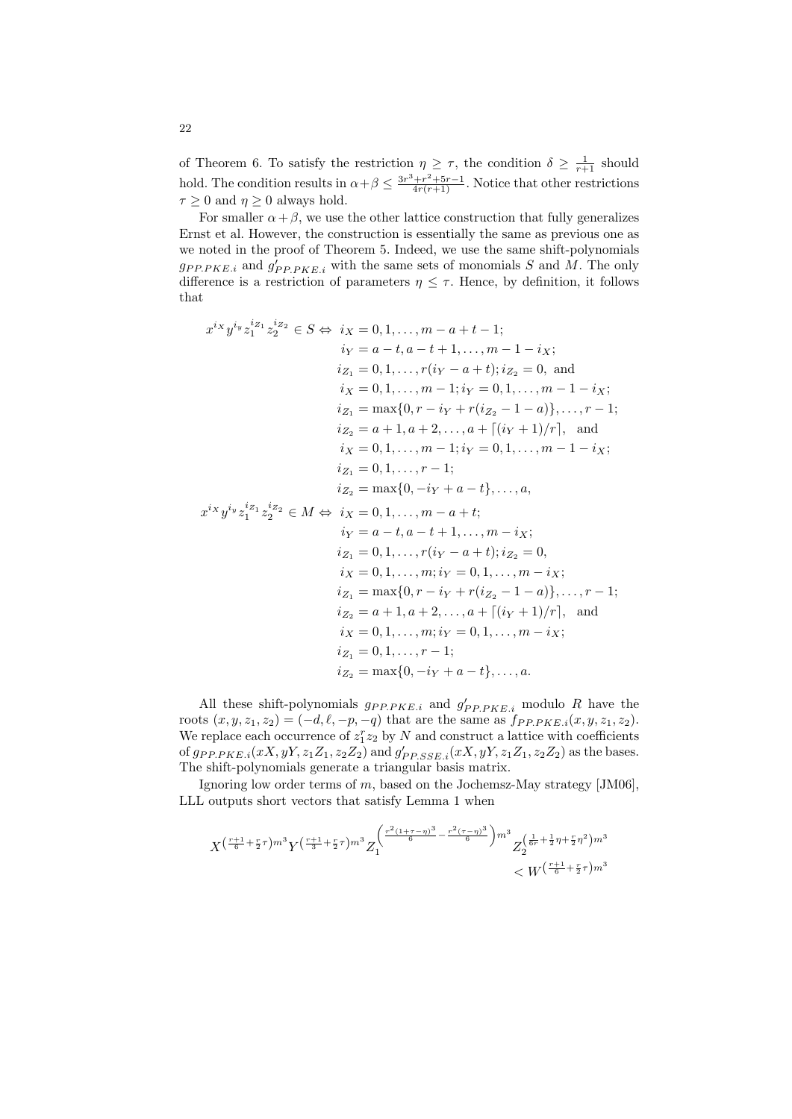of Theorem 6. To satisfy the restriction  $\eta \geq \tau$ , the condition  $\delta \geq \frac{1}{r+1}$  should hold. The condition results in  $\alpha + \beta \leq \frac{3r^3 + r^2 + 5r - 1}{4r(r+1)}$ . Notice that other restrictions  $\tau \geq 0$  and  $\eta \geq 0$  always hold.

For smaller  $\alpha + \beta$ , we use the other lattice construction that fully generalizes Ernst et al. However, the construction is essentially the same as previous one as we noted in the proof of Theorem 5. Indeed, we use the same shift-polynomials  $g_{PP,PKE,i}$  and  $g'_{PP,PKE,i}$  with the same sets of monomials *S* and *M*. The only difference is a restriction of parameters  $\eta \leq \tau$ . Hence, by definition, it follows that

$$
x^{i_X}y^{i_y}z_1^{i_{Z_1}}z_2^{i_{Z_2}} \in S \Leftrightarrow i_X = 0, 1, ..., m - a + t - 1;
$$
  
\n
$$
i_Y = a - t, a - t + 1, ..., m - 1 - i_X;
$$
  
\n
$$
i_{Z_1} = 0, 1, ..., r(i_Y - a + t); i_{Z_2} = 0, \text{ and }
$$
  
\n
$$
i_X = 0, 1, ..., m - 1; i_Y = 0, 1, ..., m - 1 - i_X;
$$
  
\n
$$
i_{Z_1} = \max\{0, r - i_Y + r(i_{Z_2} - 1 - a)\}, ..., r - 1;
$$
  
\n
$$
i_{Z_2} = a + 1, a + 2, ..., a + [(i_Y + 1)/r], \text{ and }
$$
  
\n
$$
i_X = 0, 1, ..., m - 1; i_Y = 0, 1, ..., m - 1 - i_X;
$$
  
\n
$$
i_{Z_1} = 0, 1, ..., r - 1;
$$
  
\n
$$
i_{Z_2} = \max\{0, -i_Y + a - t\}, ..., a,
$$
  
\n
$$
x^{i_X}y^{i_y}z_1^{i_{Z_1}}z_2^{i_{Z_2}} \in M \Leftrightarrow i_X = 0, 1, ..., m - a + t;
$$
  
\n
$$
i_Y = a - t, a - t + 1, ..., m - i_X;
$$
  
\n
$$
i_{Z_1} = 0, 1, ..., r(i_Y - a + t); i_{Z_2} = 0,
$$
  
\n
$$
i_X = 0, 1, ..., m; i_Y = 0, 1, ..., m - i_X;
$$
  
\n
$$
i_{Z_1} = \max\{0, r - i_Y + r(i_{Z_2} - 1 - a)\}, ..., r - 1;
$$
  
\n
$$
i_{Z_2} = a + 1, a + 2, ..., a + [(i_Y + 1)/r],
$$
 and  
\n
$$
i_X = 0, 1, ..., m; i_Y = 0, 1, ..., m - i_X;
$$
  
\n
$$
i_{Z_1} = 0, 1, ..., r - 1;
$$
  
\n
$$
i_{Z_2} = \max\{0, -i_Y + a - t\}, ..., a.
$$

All these shift-polynomials  $g_{PP, PKE,i}$  and  $g'_{PP, PKE,i}$  modulo R have the roots  $(x, y, z_1, z_2) = (-d, \ell, -p, -q)$  that are the same as  $f_{PP,PKE.i}(x, y, z_1, z_2)$ . We replace each occurrence of  $z_1^r z_2$  by  $N$  and construct a lattice with coefficients of  $g_{PP,PKE.i}(xX, yY, z_1Z_1, z_2Z_2)$  and  $g'_{PP, SSE.i}(xX, yY, z_1Z_1, z_2Z_2)$  as the bases. The shift-polynomials generate a triangular basis matrix.

Ignoring low order terms of *m*, based on the Jochemsz-May strategy [JM06], LLL outputs short vectors that satisfy Lemma 1 when

$$
X^{\left(\frac{r+1}{6} + \frac{r}{2}\tau\right)m^3} Y^{\left(\frac{r+1}{3} + \frac{r}{2}\tau\right)m^3} Z_1^{\left(\frac{r^2(1+r-\eta)^3}{6} - \frac{r^2(\tau-\eta)^3}{6}\right)m^3} Z_2^{\left(\frac{1}{6r} + \frac{1}{2}\eta + \frac{r}{2}\eta^2\right)m^3} < W^{\left(\frac{r+1}{6} + \frac{r}{2}\tau\right)m^3}
$$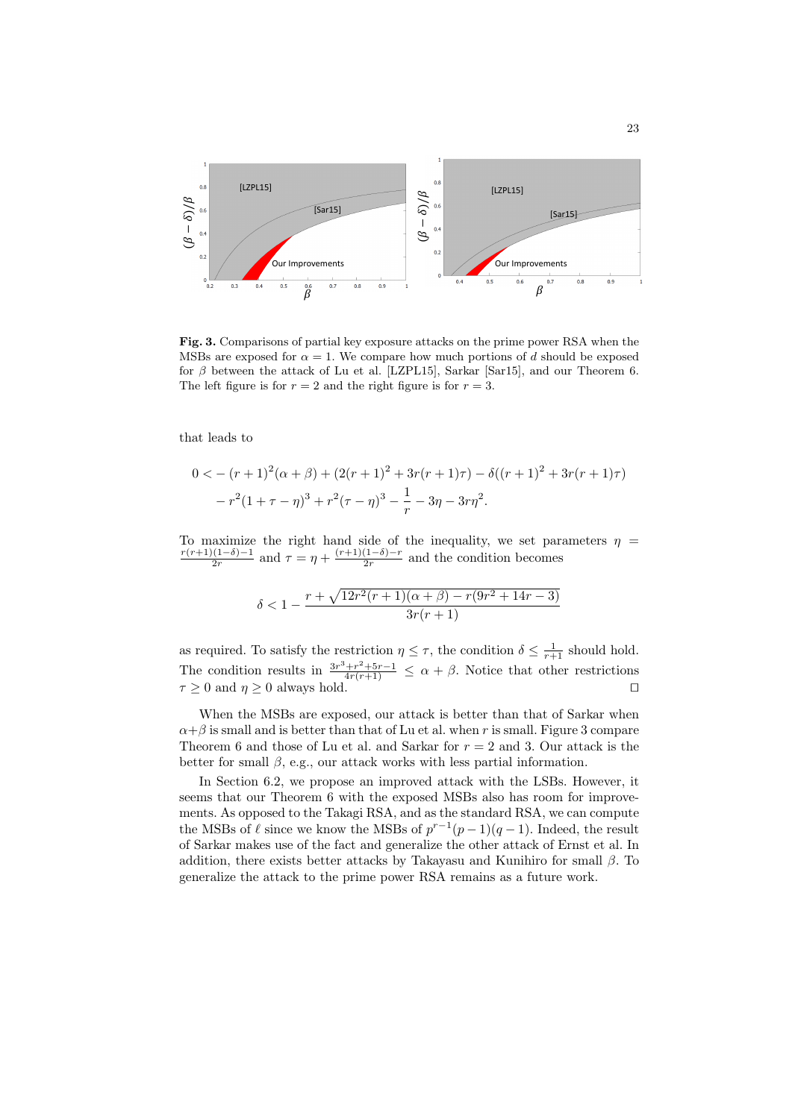

**Fig. 3.** Comparisons of partial key exposure attacks on the prime power RSA when the MSBs are exposed for  $\alpha = 1$ . We compare how much portions of *d* should be exposed for *β* between the attack of Lu et al. [LZPL15], Sarkar [Sar15], and our Theorem 6. The left figure is for  $r = 2$  and the right figure is for  $r = 3$ .

that leads to

$$
0 < -(r+1)^2(\alpha+\beta) + (2(r+1)^2 + 3r(r+1)\tau) - \delta((r+1)^2 + 3r(r+1)\tau)
$$

$$
-r^2(1+\tau-\eta)^3 + r^2(\tau-\eta)^3 - \frac{1}{r} - 3\eta - 3r\eta^2.
$$

To maximize the right hand side of the inequality, we set parameters  $\eta$  = *r*(*r*+1)(1*−δ*)*−*1  $\frac{(1-\delta)-1}{2r}$  and  $\tau = \eta + \frac{(r+1)(1-\delta)-r}{2r}$  $\frac{(1-\delta)-r}{2r}$  and the condition becomes

$$
\delta < 1 - \frac{r + \sqrt{12r^2(r+1)(\alpha+\beta) - r(9r^2 + 14r - 3)}}{3r(r+1)}
$$

as required. To satisfy the restriction  $\eta \leq \tau$ , the condition  $\delta \leq \frac{1}{r+1}$  should hold. The condition results in  $\frac{3r^3+r^2+5r-1}{4r(r+1)} \leq \alpha + \beta$ . Notice that other restrictions  $\tau \geq 0$  and  $\eta \geq 0$  always hold.  $\Box$ 

When the MSBs are exposed, our attack is better than that of Sarkar when  $\alpha + \beta$  is small and is better than that of Lu et al. when *r* is small. Figure 3 compare Theorem 6 and those of Lu et al. and Sarkar for  $r = 2$  and 3. Our attack is the better for small  $\beta$ , e.g., our attack works with less partial information.

In Section 6.2, we propose an improved attack with the LSBs. However, it seems that our Theorem 6 with the exposed MSBs also has room for improvements. As opposed to the Takagi RSA, and as the standard RSA, we can compute the MSBs of  $\ell$  since we know the MSBs of  $p^{r-1}(p-1)(q-1)$ . Indeed, the result of Sarkar makes use of the fact and generalize the other attack of Ernst et al. In addition, there exists better attacks by Takayasu and Kunihiro for small *β*. To generalize the attack to the prime power RSA remains as a future work.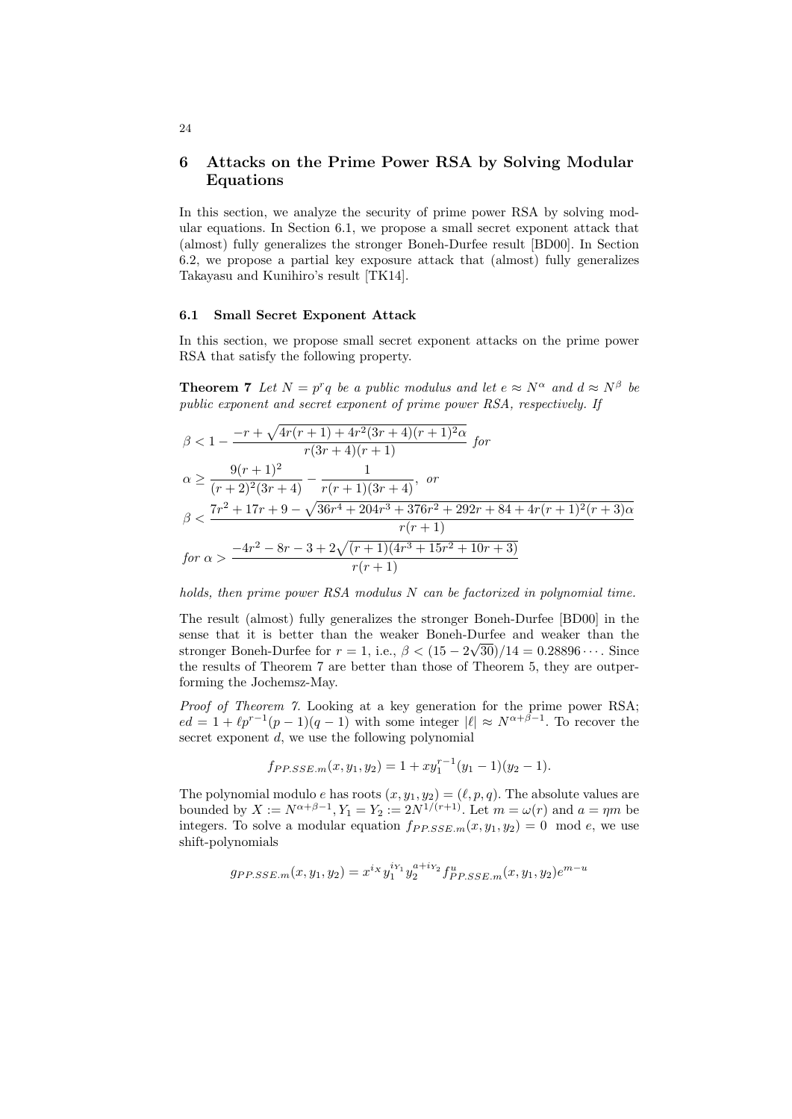# **6 Attacks on the Prime Power RSA by Solving Modular Equations**

In this section, we analyze the security of prime power RSA by solving modular equations. In Section 6.1, we propose a small secret exponent attack that (almost) fully generalizes the stronger Boneh-Durfee result [BD00]. In Section 6.2, we propose a partial key exposure attack that (almost) fully generalizes Takayasu and Kunihiro's result [TK14].

## **6.1 Small Secret Exponent Attack**

In this section, we propose small secret exponent attacks on the prime power RSA that satisfy the following property.

**Theorem 7** *Let*  $N = p^r q$  *be a public modulus and let*  $e \approx N^{\alpha}$  *and*  $d \approx N^{\beta}$  *be public exponent and secret exponent of prime power RSA, respectively. If*

$$
\beta < 1 - \frac{-r + \sqrt{4r(r+1) + 4r^2(3r+4)(r+1)^2\alpha}}{r(3r+4)(r+1)} \text{ for}
$$
\n
$$
\alpha \ge \frac{9(r+1)^2}{(r+2)^2(3r+4)} - \frac{1}{r(r+1)(3r+4)}, \text{ or}
$$
\n
$$
\beta < \frac{7r^2 + 17r + 9 - \sqrt{36r^4 + 204r^3 + 376r^2 + 292r + 84 + 4r(r+1)^2(r+3)\alpha}}{r(r+1)}
$$
\n
$$
\text{for } \alpha > \frac{-4r^2 - 8r - 3 + 2\sqrt{(r+1)(4r^3 + 15r^2 + 10r + 3)}}{r(r+1)}
$$

*holds, then prime power RSA modulus N can be factorized in polynomial time.*

The result (almost) fully generalizes the stronger Boneh-Durfee [BD00] in the sense that it is better than the weaker Boneh-Durfee and weaker than the *√* stronger Boneh-Durfee for  $r = 1$ , i.e.,  $\beta < (15 - 2\sqrt{30})/14 = 0.28896 \cdots$ . Since the results of Theorem 7 are better than those of Theorem 5, they are outperforming the Jochemsz-May.

*Proof of Theorem 7.* Looking at a key generation for the prime power RSA;  $ed = 1 + \ell p^{r-1}(p-1)(q-1)$  with some integer  $|\ell| \approx N^{\alpha+\beta-1}$ . To recover the secret exponent *d*, we use the following polynomial

$$
f_{PP.SSE.m}(x, y_1, y_2) = 1 + xy_1^{r-1}(y_1 - 1)(y_2 - 1).
$$

The polynomial modulo *e* has roots  $(x, y_1, y_2) = (\ell, p, q)$ . The absolute values are bounded by  $X := N^{\alpha+\beta-1}, Y_1 = Y_2 := 2N^{1/(r+1)}$ . Let  $m = \omega(r)$  and  $a = \eta m$  be integers. To solve a modular equation  $f_{PP,SSE,m}(x, y_1, y_2) = 0 \mod e$ , we use shift-polynomials

$$
g_{PP. SSE.m}(x, y_1, y_2) = x^{i_X} y_1^{i_{Y_1}} y_2^{a + i_{Y_2}} f_{PP. SSE.m}^{u}(x, y_1, y_2) e^{m - u}
$$

24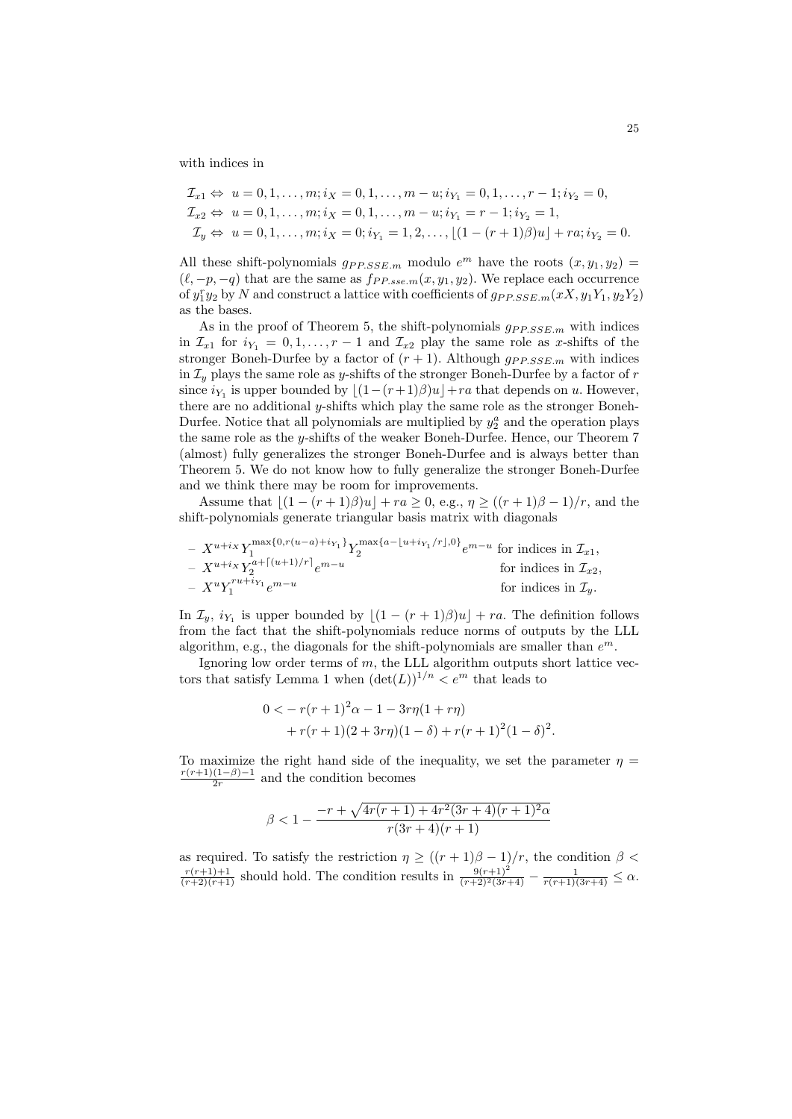with indices in

$$
\mathcal{I}_{x1} \Leftrightarrow u = 0, 1, \dots, m; i_X = 0, 1, \dots, m - u; i_{Y_1} = 0, 1, \dots, r - 1; i_{Y_2} = 0,
$$
  
\n
$$
\mathcal{I}_{x2} \Leftrightarrow u = 0, 1, \dots, m; i_X = 0, 1, \dots, m - u; i_{Y_1} = r - 1; i_{Y_2} = 1,
$$
  
\n
$$
\mathcal{I}_y \Leftrightarrow u = 0, 1, \dots, m; i_X = 0; i_{Y_1} = 1, 2, \dots, \lfloor (1 - (r + 1)\beta)u \rfloor + ra; i_{Y_2} = 0.
$$

All these shift-polynomials  $g_{PP. SSE.m}$  modulo  $e^m$  have the roots  $(x, y_1, y_2)$  =  $(\ell, -p, -q)$  that are the same as  $f_{PP, \text{sse.m}}(x, y_1, y_2)$ . We replace each occurrence of  $y_1^r y_2$  by *N* and construct a lattice with coefficients of  $g_{PP. SSE. m}(xX, y_1Y_1, y_2Y_2)$ as the bases.

As in the proof of Theorem 5, the shift-polynomials *gP P.SSE.m* with indices in  $\mathcal{I}_{x1}$  for  $i_{Y_1} = 0, 1, \ldots, r-1$  and  $\mathcal{I}_{x2}$  play the same role as *x*-shifts of the stronger Boneh-Durfee by a factor of  $(r + 1)$ . Although  $g_{PP. SSE.m}$  with indices in  $\mathcal{I}_y$  plays the same role as *y*-shifts of the stronger Boneh-Durfee by a factor of *r* since  $i_{Y_1}$  is upper bounded by  $\lfloor (1 - (r+1)\beta)u \rfloor + ra$  that depends on *u*. However, there are no additional *y*-shifts which play the same role as the stronger Boneh-Durfee. Notice that all polynomials are multiplied by  $y_2^a$  and the operation plays the same role as the *y*-shifts of the weaker Boneh-Durfee. Hence, our Theorem 7 (almost) fully generalizes the stronger Boneh-Durfee and is always better than Theorem 5. We do not know how to fully generalize the stronger Boneh-Durfee and we think there may be room for improvements.

Assume that  $|(1 - (r + 1)\beta)u| + ra \geq 0$ , e.g.,  $\eta \geq ((r + 1)\beta - 1)/r$ , and the shift-polynomials generate triangular basis matrix with diagonals

$$
- X^{u+i_X} Y_1^{\max\{0, r(u-a)+i_{Y_1}\}} Y_2^{\max\{a-\lfloor u+i_{Y_1}/r\rfloor, 0\}} e^{m-u}
$$
 for indices in  $\mathcal{I}_{x_1}$ ,  
\n
$$
- X^{u+i_X} Y_2^{a+\lceil (u+1)/r \rceil} e^{m-u}
$$
 for indices in  $\mathcal{I}_{x_2}$ ,  
\n
$$
- X^u Y_1^{r u+i_{Y_1}} e^{m-u}
$$
 for indices in  $\mathcal{I}_y$ .

In  $\mathcal{I}_y$ ,  $i_{Y_1}$  is upper bounded by  $\lfloor (1 - (r + 1)\beta)u \rfloor + ra$ . The definition follows from the fact that the shift-polynomials reduce norms of outputs by the LLL algorithm, e.g., the diagonals for the shift-polynomials are smaller than *e m*.

Ignoring low order terms of *m*, the LLL algorithm outputs short lattice vectors that satisfy Lemma 1 when  $(\det(L))^{1/n} < e^m$  that leads to

$$
0 < -r(r + 1)^{2} \alpha - 1 - 3r\eta(1 + r\eta)
$$
  
+ 
$$
r(r + 1)(2 + 3r\eta)(1 - \delta) + r(r + 1)^{2}(1 - \delta)^{2}.
$$

To maximize the right hand side of the inequality, we set the parameter  $\eta$  = *r*(*r*+1)(1*−β*)*−*1  $\frac{(1-\beta)-1}{2r}$  and the condition becomes

$$
\beta < 1 - \frac{-r + \sqrt{4r(r+1) + 4r^2(3r+4)(r+1)^2\alpha}}{r(3r+4)(r+1)}
$$

as required. To satisfy the restriction  $\eta \geq ((r+1)\beta - 1)/r$ , the condition  $\beta$  $\frac{r(r+1)+1}{(r+2)(r+1)}$  should hold. The condition results in  $\frac{9(r+1)^2}{(r+2)^2(3r+4)} - \frac{1}{r(r+1)(3r+4)} \leq \alpha$ .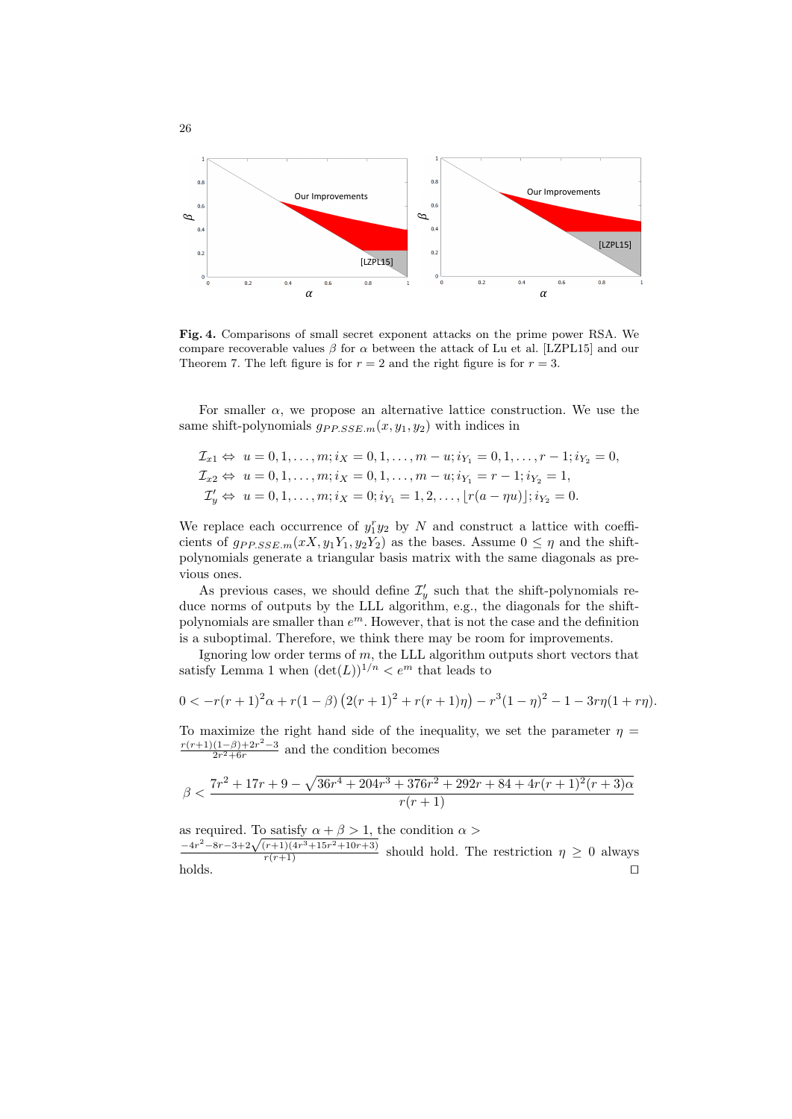

26

**Fig. 4.** Comparisons of small secret exponent attacks on the prime power RSA. We compare recoverable values  $\beta$  for  $\alpha$  between the attack of Lu et al. [LZPL15] and our Theorem 7. The left figure is for  $r = 2$  and the right figure is for  $r = 3$ .

For smaller  $\alpha$ , we propose an alternative lattice construction. We use the same shift-polynomials  $g_{PP. SSE.m}(x, y_1, y_2)$  with indices in

$$
\mathcal{I}_{x1} \Leftrightarrow u = 0, 1, ..., m; i_X = 0, 1, ..., m - u; i_{Y_1} = 0, 1, ..., r - 1; i_{Y_2} = 0,
$$
  
\n
$$
\mathcal{I}_{x2} \Leftrightarrow u = 0, 1, ..., m; i_X = 0, 1, ..., m - u; i_{Y_1} = r - 1; i_{Y_2} = 1,
$$
  
\n
$$
\mathcal{I}'_y \Leftrightarrow u = 0, 1, ..., m; i_X = 0; i_{Y_1} = 1, 2, ..., [r(a - \eta u)]; i_{Y_2} = 0.
$$

We replace each occurrence of  $y_1^r y_2$  by *N* and construct a lattice with coefficients of  $g_{PP. SSE.m}(xX, y_1Y_1, y_2Y_2)$  as the bases. Assume  $0 \leq \eta$  and the shiftpolynomials generate a triangular basis matrix with the same diagonals as previous ones.

As previous cases, we should define  $\mathcal{I}'_y$  such that the shift-polynomials reduce norms of outputs by the LLL algorithm, e.g., the diagonals for the shiftpolynomials are smaller than *e <sup>m</sup>*. However, that is not the case and the definition is a suboptimal. Therefore, we think there may be room for improvements.

Ignoring low order terms of *m*, the LLL algorithm outputs short vectors that satisfy Lemma 1 when  $(\det(L))^{1/n} < e^m$  that leads to

$$
0 < -r(r+1)^2\alpha + r(1-\beta)\left(2(r+1)^2 + r(r+1)\eta\right) - r^3(1-\eta)^2 - 1 - 3r\eta(1+r\eta).
$$

To maximize the right hand side of the inequality, we set the parameter  $\eta$  = *r*(*r*+1)(1*−β*)+2*r* <sup>2</sup>*−*3  $\frac{(1-\beta)+2r^2-3}{2r^2+6r}$  and the condition becomes

$$
\beta < \frac{7r^2+17r+9-\sqrt{36r^4+204r^3+376r^2+292r+84+4r(r+1)^2(r+3)\alpha}}{r(r+1)}
$$

as required. To satisfy  $\alpha + \beta > 1$ , the condition  $\alpha >$ 

 $-\frac{4r^2-8r-3+2\sqrt{(r+1)(4r^3+15r^2+10r+3)}}{r(r+1)}$  should hold. The restriction  $\eta \geq 0$  always holds. *⊓⊔*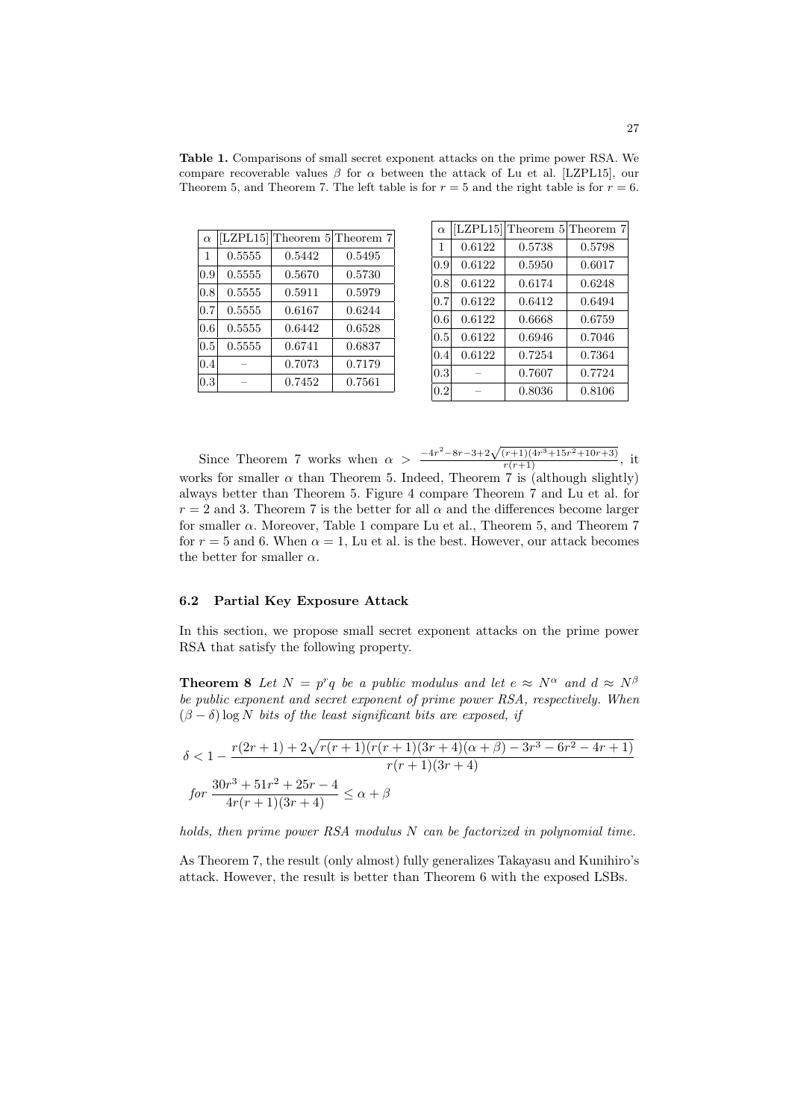**Table 1.** Comparisons of small secret exponent attacks on the prime power RSA. We compare recoverable values  $\beta$  for  $\alpha$  between the attack of Lu et al. [LZPL15], our Theorem 5, and Theorem 7. The left table is for  $r = 5$  and the right table is for  $r = 6$ .

| $\alpha$  |        | [LZPL15] Theorem 5 Theorem $7$ |        |
|-----------|--------|--------------------------------|--------|
| 1         | 0.5555 | 0.5442                         | 0.5495 |
| 0.9       | 0.5555 | 0.5670                         | 0.5730 |
| 0.8       | 0.5555 | 0.5911                         | 0.5979 |
| 0.7       | 0.5555 | 0.6167                         | 0.6244 |
| 0.6       | 0.5555 | 0.6442                         | 0.6528 |
| 0.5       | 0.5555 | 0.6741                         | 0.6837 |
| 0.4       |        | 0.7073                         | 0.7179 |
| $\rm 0.3$ |        | 0.7452                         | 0.7561 |

| $\alpha$  |        | [LZPL15] Theorem 5 Theorem 7 |        |
|-----------|--------|------------------------------|--------|
| 1         | 0.6122 | 0.5738                       | 0.5798 |
| 0.9       | 0.6122 | 0.5950                       | 0.6017 |
| 0.8       | 0.6122 | 0.6174                       | 0.6248 |
| 0.7       | 0.6122 | 0.6412                       | 0.6494 |
| 0.6       | 0.6122 | 0.6668                       | 0.6759 |
| 0.5       | 0.6122 | 0.6946                       | 0.7046 |
| 0.4       | 0.6122 | 0.7254                       | 0.7364 |
| 0.3       |        | 0.7607                       | 0.7724 |
| $\rm 0.2$ |        | 0.8036                       | 0.8106 |

Since Theorem 7 works when  $\alpha > \frac{-4r^2 - 8r - 3 + 2\sqrt{(r+1)(4r^3 + 15r^2 + 10r + 3)}}{r(r+1)}$ , it works for smaller  $\alpha$  than Theorem 5. Indeed, Theorem 7 is (although slightly) always better than Theorem 5. Figure 4 compare Theorem 7 and Lu et al. for  $r = 2$  and 3. Theorem 7 is the better for all  $\alpha$  and the differences become larger for smaller *α*. Moreover, Table 1 compare Lu et al., Theorem 5, and Theorem 7 for  $r = 5$  and 6. When  $\alpha = 1$ , Lu et al. is the best. However, our attack becomes the better for smaller  $\alpha$ .

### **6.2 Partial Key Exposure Attack**

In this section, we propose small secret exponent attacks on the prime power RSA that satisfy the following property.

**Theorem 8** *Let*  $N = p^r q$  *be a public modulus and let*  $e \approx N^{\alpha}$  *and*  $d \approx N^{\beta}$ *be public exponent and secret exponent of prime power RSA, respectively. When*  $(\beta - \delta)$  log *N bits of the least significant bits are exposed, if* 

$$
\delta < 1 - \frac{r(2r+1) + 2\sqrt{r(r+1)(r(r+1)(3r+4)(\alpha+\beta) - 3r^3 - 6r^2 - 4r + 1)}}{r(r+1)(3r+4)}
$$
\n
$$
for \frac{30r^3 + 51r^2 + 25r - 4}{4r(r+1)(3r+4)} \le \alpha + \beta
$$

*holds, then prime power RSA modulus N can be factorized in polynomial time.*

As Theorem 7, the result (only almost) fully generalizes Takayasu and Kunihiro's attack. However, the result is better than Theorem 6 with the exposed LSBs.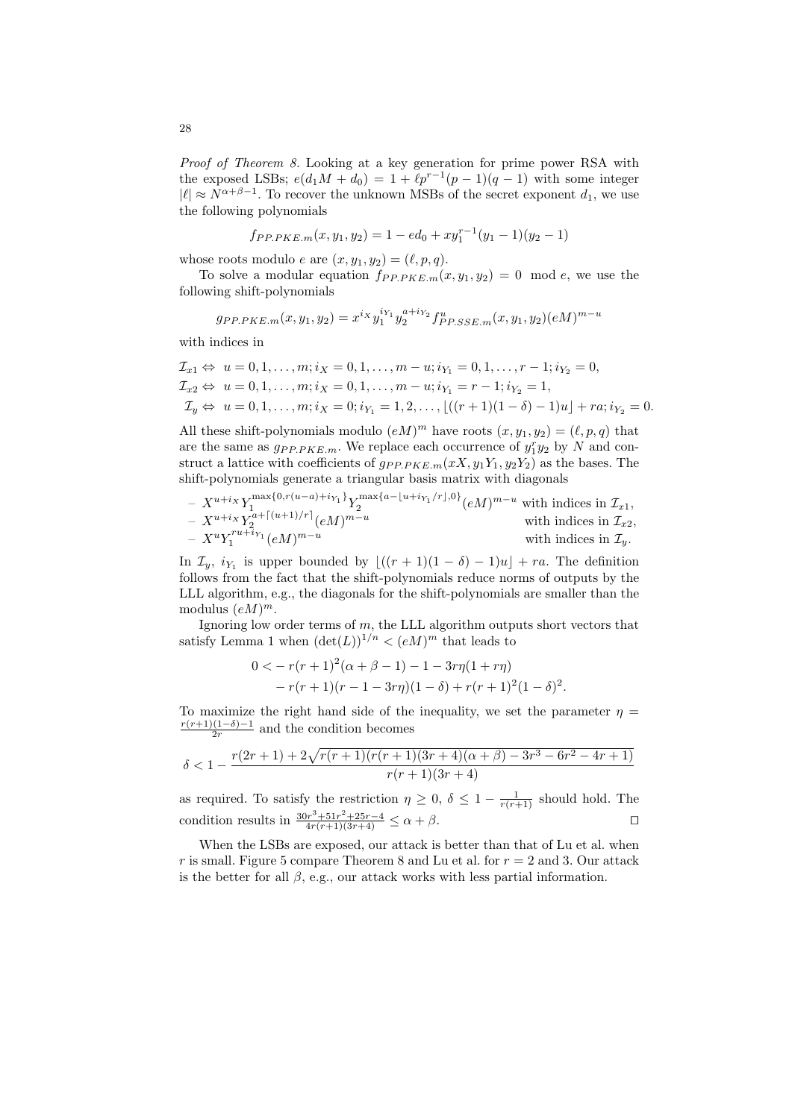*Proof of Theorem 8.* Looking at a key generation for prime power RSA with the exposed LSBs;  $e(d_1M + d_0) = 1 + \ell p^{r-1}(p-1)(q-1)$  with some integer  $|ℓ| ≈ N<sup>α+β-1</sup>$ . To recover the unknown MSBs of the secret exponent *d*<sub>1</sub>, we use the following polynomials

$$
f_{PP.PKE.m}(x, y_1, y_2) = 1 - ed_0 + xy_1^{r-1}(y_1 - 1)(y_2 - 1)
$$

whose roots modulo  $e$  are  $(x, y_1, y_2) = (\ell, p, q)$ .

To solve a modular equation  $f_{PP,PKE,m}(x, y_1, y_2) = 0 \mod e$ , we use the following shift-polynomials

$$
g_{PP.PKE.m}(x, y_1, y_2) = x^{i_X} y_1^{i_{Y_1}} y_2^{a+i_{Y_2}} f_{PP.SSE.m}^u(x, y_1, y_2) (eM)^{m-u}
$$

with indices in

$$
\mathcal{I}_{x1} \Leftrightarrow u = 0, 1, \dots, m; i_X = 0, 1, \dots, m - u; i_{Y_1} = 0, 1, \dots, r - 1; i_{Y_2} = 0,
$$
  
\n
$$
\mathcal{I}_{x2} \Leftrightarrow u = 0, 1, \dots, m; i_X = 0, 1, \dots, m - u; i_{Y_1} = r - 1; i_{Y_2} = 1,
$$
  
\n
$$
\mathcal{I}_y \Leftrightarrow u = 0, 1, \dots, m; i_X = 0; i_{Y_1} = 1, 2, \dots, \lfloor ((r+1)(1-\delta) - 1)u \rfloor + ra; i_{Y_2} = 0.
$$

All these shift-polynomials modulo  $(eM)^m$  have roots  $(x, y_1, y_2) = (\ell, p, q)$  that are the same as  $g_{PP,PKE,m}$ . We replace each occurrence of  $y_1^r y_2$  by  $N$  and construct a lattice with coefficients of  $g_{PP,PKE,m}(xX, y_1Y_1, y_2Y_2)$  as the bases. The shift-polynomials generate a triangular basis matrix with diagonals

$$
- X^{u+i_X} Y_1^{\max\{0, r(u-a)+i_{Y_1}\}} Y_2^{\max\{a-\lfloor u+i_{Y_1}/r\rfloor, 0\}} (eM)^{m-u}
$$
 with indices in  $\mathcal{I}_{x_1}$ ,  
\n
$$
- X^{u+i_X} Y_2^{a+\lceil (u+1)/r\rceil} (eM)^{m-u}
$$
 with indices in  $\mathcal{I}_{x_2}$ ,  
\n
$$
- X^u Y_1^{ru+i_{Y_1}} (eM)^{m-u}
$$
 with indices in  $\mathcal{I}_y$ .

In  $\mathcal{I}_y$ ,  $i_{Y_1}$  is upper bounded by  $\lfloor ((r + 1)(1 - \delta) - 1)u \rfloor + ra$ . The definition follows from the fact that the shift-polynomials reduce norms of outputs by the LLL algorithm, e.g., the diagonals for the shift-polynomials are smaller than the modulus  $(eM)^m$ .

Ignoring low order terms of *m*, the LLL algorithm outputs short vectors that satisfy Lemma 1 when  $(\det(L))^{1/n} < (eM)^m$  that leads to

$$
0 < -r(r+1)^2(\alpha+\beta-1) - 1 - 3r\eta(1+r\eta)
$$
  
-r(r+1)(r-1-3r\eta)(1-\delta) + r(r+1)^2(1-\delta)^2.

To maximize the right hand side of the inequality, we set the parameter  $\eta =$ *r*(*r*+1)(1*−δ*)*−*1  $\frac{2r(1-\delta)-1}{2r}$  and the condition becomes

$$
\delta<1-\frac{r(2r+1)+2\sqrt{r(r+1)(r(r+1)(3r+4)(\alpha+\beta)-3r^3-6r^2-4r+1)}}{r(r+1)(3r+4)}
$$

as required. To satisfy the restriction  $\eta \geq 0$ ,  $\delta \leq 1 - \frac{1}{r(r+1)}$  should hold. The condition results in  $\frac{30r^3 + 51r^2 + 25r - 4}{4r(r+1)(3r+4)} \le \alpha + \beta$ .

When the LSBs are exposed, our attack is better than that of Lu et al. when *r* is small. Figure 5 compare Theorem 8 and Lu et al. for  $r = 2$  and 3. Our attack is the better for all  $\beta$ , e.g., our attack works with less partial information.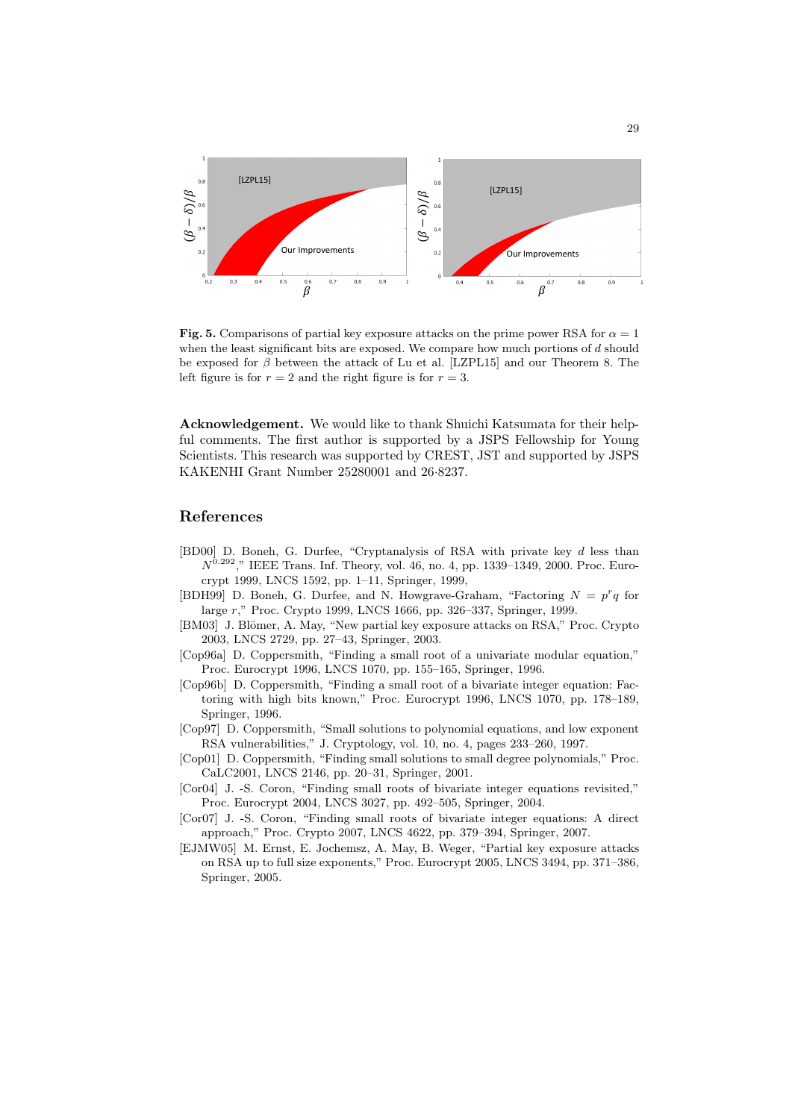

**Fig. 5.** Comparisons of partial key exposure attacks on the prime power RSA for  $\alpha = 1$ when the least significant bits are exposed. We compare how much portions of *d* should be exposed for *β* between the attack of Lu et al. [LZPL15] and our Theorem 8. The left figure is for  $r = 2$  and the right figure is for  $r = 3$ .

**Acknowledgement.** We would like to thank Shuichi Katsumata for their helpful comments. The first author is supported by a JSPS Fellowship for Young Scientists. This research was supported by CREST, JST and supported by JSPS KAKENHI Grant Number 25280001 and 26*·*8237.

# **References**

- [BD00] D. Boneh, G. Durfee, "Cryptanalysis of RSA with private key *d* less than *N*<sup>0.292</sup>," IEEE Trans. Inf. Theory, vol. 46, no. 4, pp. 1339–1349, 2000. Proc. Eurocrypt 1999, LNCS 1592, pp. 1–11, Springer, 1999,
- [BDH99] D. Boneh, G. Durfee, and N. Howgrave-Graham, "Factoring  $N = p^r q$  for large *r*," Proc. Crypto 1999, LNCS 1666, pp. 326–337, Springer, 1999.
- [BM03] J. Blömer, A. May, "New partial key exposure attacks on RSA," Proc. Crypto 2003, LNCS 2729, pp. 27–43, Springer, 2003.
- [Cop96a] D. Coppersmith, "Finding a small root of a univariate modular equation," Proc. Eurocrypt 1996, LNCS 1070, pp. 155–165, Springer, 1996.
- [Cop96b] D. Coppersmith, "Finding a small root of a bivariate integer equation: Factoring with high bits known," Proc. Eurocrypt 1996, LNCS 1070, pp. 178–189, Springer, 1996.
- [Cop97] D. Coppersmith, "Small solutions to polynomial equations, and low exponent RSA vulnerabilities," J. Cryptology, vol. 10, no. 4, pages 233–260, 1997.
- [Cop01] D. Coppersmith, "Finding small solutions to small degree polynomials," Proc. CaLC2001, LNCS 2146, pp. 20–31, Springer, 2001.
- [Cor04] J. -S. Coron, "Finding small roots of bivariate integer equations revisited," Proc. Eurocrypt 2004, LNCS 3027, pp. 492–505, Springer, 2004.
- [Cor07] J. -S. Coron, "Finding small roots of bivariate integer equations: A direct approach," Proc. Crypto 2007, LNCS 4622, pp. 379–394, Springer, 2007.
- [EJMW05] M. Ernst, E. Jochemsz, A. May, B. Weger, "Partial key exposure attacks on RSA up to full size exponents," Proc. Eurocrypt 2005, LNCS 3494, pp. 371–386, Springer, 2005.